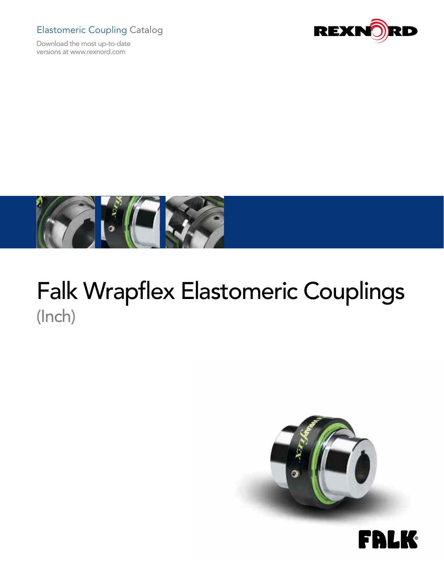## Elastomeric Coupling Catalog

Download the most up-to-date versions at www.rexnord.com





# Falk Wrapflex Elastomeric Couplings (Inch)



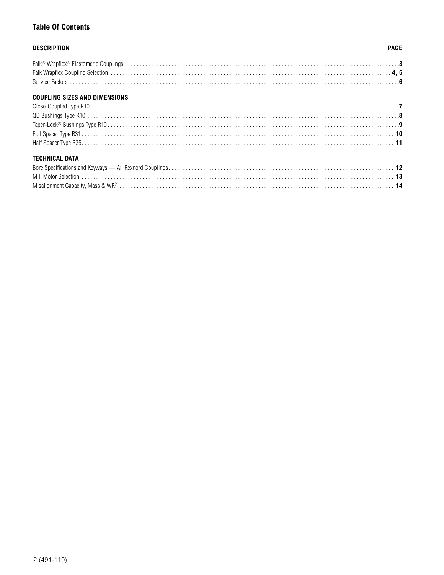## **Table Of Contents**

## **DESCRIPTION**

### **PAGE**

## **COUPLING SIZES AND DIMENSIONS**

## **TECHNICAL DATA**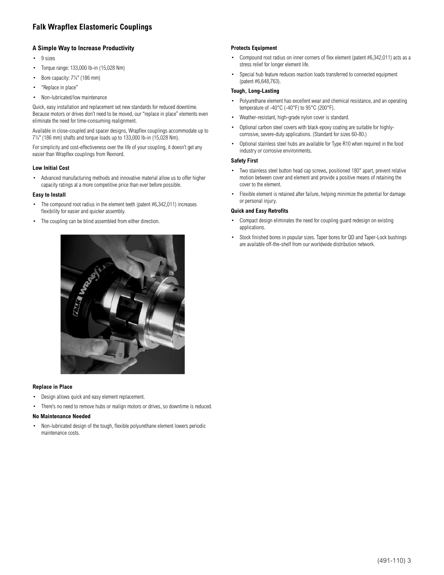## **Falk Wrapflex Elastomeric Couplings**

#### **A Simple Way to Increase Productivity**

- • 9 sizes
- Torque range: 133,000 lb-in (15,028 Nm)
- Bore capacity:  $7\frac{1}{4}$ " (186 mm)
- "Replace in place"
- • Non-lubricated/low maintenance

Quick, easy installation and replacement set new standards for reduced downtime. Because motors or drives don't need to be moved, our "replace in place" elements even eliminate the need for time-consuming realignment.

Available in close-coupled and spacer designs, Wrapflex couplings accommodate up to 7¼" (186 mm) shafts and torque loads up to 133,000 lb-in (15,028 Nm).

For simplicity and cost-effectiveness over the life of your coupling, it doesn't get any easier than Wrapflex couplings from Rexnord.

#### **Low Initial Cost**

Advanced manufacturing methods and innovative material allow us to offer higher capacity ratings at a more competitive price than ever before possible.

#### **Easy to Install**

- The compound root radius in the element teeth (patent #6,342,011) increases flexibility for easier and quicker assembly.
- The coupling can be blind assembled from either direction.



#### **Replace in Place**

- • Design allows quick and easy element replacement.
- There's no need to remove hubs or realign motors or drives, so downtime is reduced.

#### **No Maintenance Needed**

Non-lubricated design of the tough, flexible polyurethane element lowers periodic maintenance costs.

#### **Protects Equipment**

- Compound root radius on inner corners of flex element (patent  $#6,342,011$ ) acts as a stress relief for longer element life.
- Special hub feature reduces reaction loads transferred to connected equipment (patent #6,648,763).

#### **Tough, Long-Lasting**

- Polyurethane element has excellent wear and chemical resistance, and an operating temperature of -40°C (-40°F) to 95°C (200°F).
- Weather-resistant, high-grade nylon cover is standard.
- Optional carbon steel covers with black epoxy coating are suitable for highlycorrosive, severe-duty applications. (Standard for sizes 60-80.)
- Optional stainless steel hubs are available for Type R10 when required in the food industry or corrosive environments.

#### **Safety First**

- Two stainless steel button head cap screws, positioned 180° apart, prevent relative motion between cover and element and provide a positive means of retaining the cover to the element.
- Flexible element is retained after failure, helping minimize the potential for damage or personal injury.

#### **Quick and Easy Retrofits**

- Compact design eliminates the need for coupling guard redesign on existing applications.
- Stock finished bores in popular sizes. Taper bores for QD and Taper-Lock bushings are available off-the-shelf from our worldwide distribution network.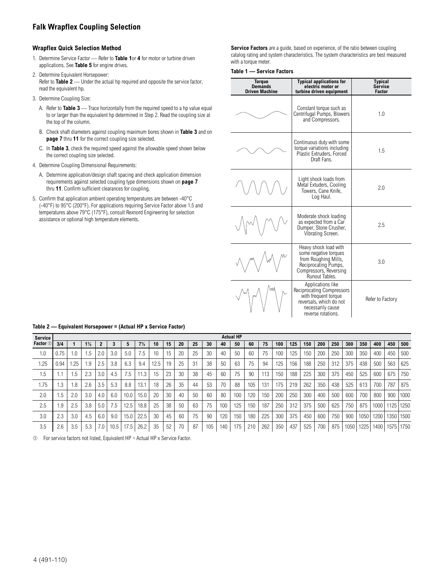## **Falk Wrapflex Coupling Selection**

#### **Wrapflex Quick Selection Method**

- 1. Determine Service Factor Refer to **Table 1**or **4** for motor or turbine driven applications. See **Table 5** for engine drives.
- 2. Determine Equivalent Horsepower: Refer to **Table 2** — Under the actual hp required and opposite the service factor, read the equivalent hp.
- 3. Determine Coupling Size:
	- A. Refer to **Table 3** Trace horizontally from the required speed to a hp value equal to or larger than the equivalent hp determined in Step 2. Read the coupling size at the top of the column.
	- B. Check shaft diameters against coupling maximum bores shown in **Table 3** and on **page 7** thru **11** for the correct coupling size selected.
	- C. In **Table 3**, check the required speed against the allowable speed shown below the correct coupling size selected.
- 4. Determine Coupling Dimensional Requirements:
	- A. Determine application/design shaft spacing and check application dimension requirements against selected coupling type dimensions shown on **page 7** thru **11**. Confirm sufficient clearances for coupling.
- 5. Confirm that application ambient operating temperatures are between -40°C (-40°F) to 95°C (200°F). For applications requiring Service Factor above 1.5 and temperatures above 79°C (175°F), consult Rexnord Engineering for selection assistance or optional high temperature elements.

**Service Factors** are a guide, based on experience, of the ratio between coupling catalog rating and system characteristics. The system characteristics are best measured with a torque meter.

#### **Table 1 — Service Factors**

| <b>Torque</b><br><b>Demands</b><br><b>Driven Machine</b> | <b>Typical applications for</b><br>electric motor or<br>turbine driven equipment                                                                    | <b>Typical</b><br><b>Service</b><br><b>Factor</b> |
|----------------------------------------------------------|-----------------------------------------------------------------------------------------------------------------------------------------------------|---------------------------------------------------|
|                                                          | Constant torque such as<br>Centrifugal Pumps, Blowers<br>and Compressors.                                                                           | 1.0                                               |
|                                                          | Continuous duty with some<br>torque variations including<br>Plastic Extruders. Forced<br>Draft Fans.                                                | 1.5                                               |
|                                                          | Light shock loads from<br>Metal Extuders, Cooling<br>Towers, Cane Knife,<br>Log Haul.                                                               | 2.0                                               |
|                                                          | Moderate shock loading<br>as expected from a Car<br>Dumper, Stone Crusher,<br>Vibrating Screen.                                                     | 2.5                                               |
|                                                          | Heavy shock load with<br>some negative torques<br>from Roughing Mills,<br>Reciprocating Pumps,<br>Compressors, Reversing<br>Runout Tables.          | 3.0                                               |
|                                                          | Applications like<br><b>Reciprocating Compressors</b><br>with frequent torque<br>reversals, which do not<br>necessarily cause<br>reverse rotations. | Refer to Factory                                  |

| <b>Service</b> |           |     |                |     |      |      |                |      |    |    |    |     |     | <b>Actual HP</b> |     |     |     |     |     |     |     |      |      |      |      |      |
|----------------|-----------|-----|----------------|-----|------|------|----------------|------|----|----|----|-----|-----|------------------|-----|-----|-----|-----|-----|-----|-----|------|------|------|------|------|
| Factor 1       | 3/4       |     | $1\frac{1}{2}$ | 2   |      | 5    | $7\frac{1}{2}$ | 10   | 15 | 20 | 25 | 30  | 40  | 50               | 60  | 75  | 100 | 125 | 150 | 200 | 250 | 300  | 350  | 400  | 450  | 500  |
| 1.0            | ა 75      | 1.0 | 1.5            |     | 3.0  | 5.0  | 7.5            | 10   | 15 | 20 | 25 | 30  | 40  | 50               | 60  | 75  | 100 | 125 | 150 | 200 | 250 | 300  | 350  | 400  | 450  | 500  |
| 1.25           | 0.94      | .25 | 1.9            | 2.5 | 3.8  | 6.3  | 9.4            | 12.5 | 19 | 25 | 31 | 38  | 50  | 63               | 75  | 94  | 125 | 156 | 188 | 250 | 312 | 375  | 438  | 500  | 563  | 625  |
| 1.5            |           | ı.5 | 2.3            | 3.0 | 4.5  | 1.5  | 1.3            | 15   | 23 | 30 | 38 | 45  | 60  | 75               | 90  | 113 | 150 | 188 | 225 | 300 | 375 | 450  | 525  | 600  | 675  | 750  |
| 1.75           | $\cdot$ 3 | 1.8 | 2.6            | 3.5 | 5.3  | 8.8  | 13.1           | 18   | 26 | 35 | 44 | 53  | 70  | 88               | 105 | 131 | 175 | 219 | 262 | 350 | 438 | 525  | 613  | 700  | 787  | 875  |
| 2.0            | .5        | 2.0 | 3.0            | 4.0 | 6.0  | 10.0 | 15.0           | 20   | 30 | 40 | 50 | 60  | 80  | 100              | 120 | 150 | 200 | 250 | 300 | 400 | 500 | 600  | 700  | 800  | 900  | 1000 |
| 2.5            | .9        | 2.5 | 3.8            | 5.0 | 7.5  | 12.5 | 18.8           | 25   | 38 | 50 | 63 | 75  | 100 | 125              | 150 | 187 | 250 | 312 | 375 | 500 | 625 | 750  | 875  | 1000 | 125  | 1250 |
| 3.0            | 2.3       | 3.0 | 4.5            | 6.0 | 9.0  | 15.0 | 22.5           | 30   | 45 | 60 | 75 | 90  | 120 | 150              | 180 | 225 | 300 | 375 | 450 | 600 | 750 | 900  | 1050 | 1200 | 350  | 1500 |
| 3.5            | 2.6       | 3.5 | 5.3            | 7.0 | 10.5 | 17.5 | 26.2           | 35   | 52 | 70 | 87 | 105 | 140 | 175              | 210 | 262 | 350 | 437 | 525 | 700 | 875 | 1050 | 1225 | 1400 | 1575 | 1750 |

#### **Table 2 — Equivalent Horsepower = (Actual HP x Service Factor)**

➀ For service factors not listed, Equivalent HP = Actual HP x Service Factor.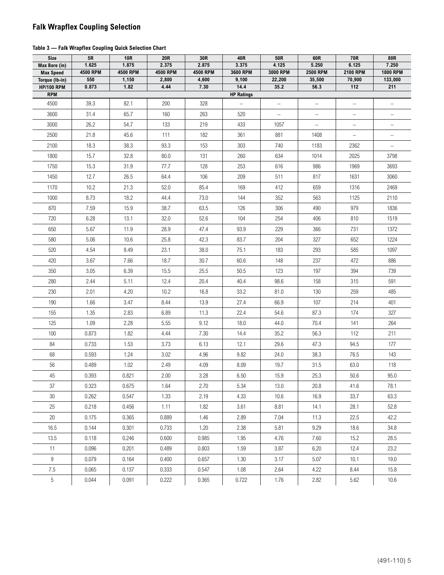## **Falk Wrapflex Coupling Selection**

#### **Table 3 — Falk Wrapflex Coupling Quick Selection Chart**

| <b>Size</b>                       | 5R                | <b>10R</b>        | <b>20R</b>        | 30R               | 40R               | 50R               | 60R                      | 70R                      | 80R                      |
|-----------------------------------|-------------------|-------------------|-------------------|-------------------|-------------------|-------------------|--------------------------|--------------------------|--------------------------|
| Max Bore (in)<br><b>Max Speed</b> | 1.625<br>4500 RPM | 1.875<br>4500 RPM | 2.375<br>4500 RPM | 2.875<br>4500 RPM | 3.375<br>3600 RPM | 4.125<br>3000 RPM | 5.250<br><b>2500 RPM</b> | 6.125<br>2100 RPM        | 7.250<br><b>1800 RPM</b> |
| Torque (Ib-in)                    | 550               | 1,150             | 2,800             | 4,600             | 9,100             | 22,200            | 35,500                   | 70,900                   | 133,000                  |
| <b>HP/100 RPM</b>                 | 0.873             | 1.82              | 4.44              | 7.30              | 14.4              | 35.2              | 56.3                     | 112                      | 211                      |
| <b>RPM</b>                        |                   |                   |                   |                   | <b>HP Ratings</b> |                   |                          |                          |                          |
| 4500                              | 39.3              | 82.1              | 200               | 328               |                   |                   | $\overline{\phantom{0}}$ |                          |                          |
| 3600                              | 31.4              | 65.7              | 160               | 263               | 520               | $\qquad \qquad -$ | $\overline{\phantom{0}}$ | $\qquad \qquad -$        | $\qquad \qquad -$        |
| 3000                              | 26.2              | 54.7              | 133               | 219               | 433               | 1057              | $\equiv$                 | $\overline{\phantom{0}}$ |                          |
| 2500                              | 21.8              | 45.6              | 111               | 182               | 361               | 881               | 1408                     | $\qquad \qquad -$        |                          |
| 2100                              | 18.3              | 38.3              | 93.3              | 153               | 303               | 740               | 1183                     | 2362                     | $\overline{\phantom{0}}$ |
| 1800                              | 15.7              | 32.8              | 80.0              | 131               | 260               | 634               | 1014                     | 2025                     | 3798                     |
| 1750                              | 15.3              | 31.9              | 77.7              | 128               | 253               | 616               | 986                      | 1969                     | 3693                     |
| 1450                              | 12.7              | 26.5              | 64.4              | 106               | 209               | 511               | 817                      | 1631                     | 3060                     |
| 1170                              | 10.2              | 21.3              | 52.0              | 85.4              | 169               | 412               | 659                      | 1316                     | 2469                     |
| 1000                              | 8.73              | 18.2              | 44.4              | 73.0              | 144               | 352               | 563                      | 1125                     | 2110                     |
| 870                               | 7.59              | 15.9              | 38.7              | 63.5              | 126               | 306               | 490                      | 979                      | 1836                     |
| 720                               | 6.28              | 13.1              | 32.0              | 52.6              | 104               | 254               | 406                      | 810                      | 1519                     |
| 650                               | 5.67              | 11.9              | 28.9              | 47.4              | 93.9              | 229               | 366                      | 731                      | 1372                     |
| 580                               | 5.06              | 10.6              | 25.8              | 42.3              | 83.7              | 204               | 327                      | 652                      | 1224                     |
| 520                               | 4.54              | 9.49              | 23.1              | 38.0              | 75.1              | 183               | 293                      | 585                      | 1097                     |
| 420                               | 3.67              | 7.66              | 18.7              | 30.7              | 60.6              | 148               | 237                      | 472                      | 886                      |
| 350                               | 3.05              | 6.39              | 15.5              | 25.5              | 50.5              | 123               | 197                      | 394                      | 739                      |
| 280                               | 2.44              | 5.11              | 12.4              | 20.4              | 40.4              | 98.6              | 158                      | 315                      | 591                      |
| 230                               | 2.01              | 4.20              | 10.2              | 16.8              | 33.2              | 81.0              | 130                      | 259                      | 485                      |
| 190                               | 1.66              | 3.47              | 8.44              | 13.9              | 27.4              | 66.9              | 107                      | 214                      | 401                      |
| 155                               | 1.35              | 2.83              | 6.89              | 11.3              | 22.4              | 54.6              | 87.3                     | 174                      | 327                      |
| 125                               | 1.09              | 2.28              | 5.55              | 9.12              | 18.0              | 44.0              | 70.4                     | 141                      | 264                      |
| 100                               | 0.873             | 1.82              | 4.44              | 7.30              | 14.4              | 35.2              | 56.3                     | 112                      | 211                      |
| 84                                | 0.733             | 1.53              | 3.73              | 6.13              | 12.1              | 29.6              | 47.3                     | 94.5                     | 177                      |
| 68                                | 0.593             | 1.24              | 3.02              | 4.96              | 9.82              | 24.0              | 38.3                     | 76.5                     | 143                      |
| 56                                | 0.489             | 1.02              | 2.49              | 4.09              | 8.09              | 19.7              | 31.5                     | 63.0                     | 118                      |
| $45\,$                            | 0.393             | 0.821             | 2.00              | 3.28              | $6.50\,$          | 15.9              | 25.3                     | 50.6                     | 95.0                     |
| 37                                | 0.323             | 0.675             | 1.64              | 2.70              | 5.34              | 13.0              | 20.8                     | 41.6                     | 78.1                     |
| $30\,$                            | 0.262             | 0.547             | 1.33              | 2.19              | 4.33              | 10.6              | 16.9                     | 33.7                     | 63.3                     |
| 25                                | 0.218             | 0.456             | 1.11              | 1.82              | 3.61              | 8.81              | 14.1                     | 28.1                     | 52.8                     |
| 20                                | 0.175             | 0.365             | 0.889             | 1.46              | 2.89              | 7.04              | 11.3                     | 22.5                     | 42.2                     |
| 16.5                              | 0.144             | 0.301             | 0.733             | 1.20              | 2.38              | 5.81              | 9.29                     | 18.6                     | 34.8                     |
| 13.5                              | 0.118             | 0.246             | 0.600             | 0.985             | 1.95              | 4.76              | 7.60                     | 15.2                     | 28.5                     |
| 11                                | 0.096             | 0.201             | 0.489             | 0.803             | 1.59              | 3.87              | 6.20                     | 12.4                     | 23.2                     |
| 9                                 | 0.079             | 0.164             | 0.400             | 0.657             | 1.30              | 3.17              | 5.07                     | 10.1                     | 19.0                     |
| 7.5                               | 0.065             | 0.137             | 0.333             | 0.547             | 1.08              | 2.64              | 4.22                     | 8.44                     | 15.8                     |
| 5                                 | 0.044             | 0.091             | 0.222             | 0.365             | 0.722             | 1.76              | 2.82                     | 5.62                     | 10.6                     |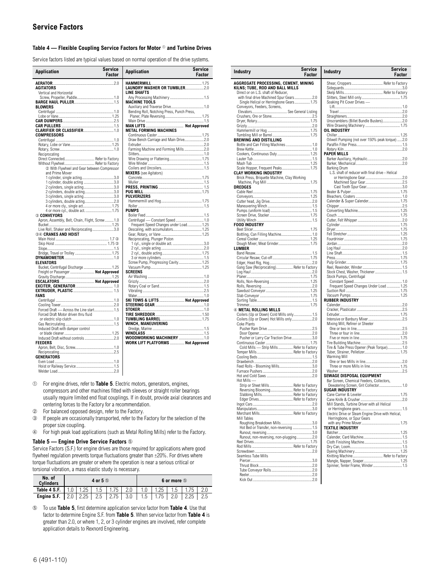#### **Table 4 — Flexible Coupling Service Factors for Motor** ➀ **and Turbine Drives**

Service factors listed are typical values based on normal operation of the drive systems.

| Application                                      | <b>Service</b><br>Factor | <b>Application</b>                         | <b>Service</b><br>Factor |
|--------------------------------------------------|--------------------------|--------------------------------------------|--------------------------|
|                                                  |                          |                                            |                          |
| AGITATORS                                        |                          | LAUNDRY WASHER OR TUMBLER2.0               |                          |
| Vertical and Horizontal                          |                          | <b>LINE SHAFTS</b>                         |                          |
|                                                  |                          |                                            |                          |
|                                                  |                          | <b>MACHINE TOOLS</b>                       |                          |
| <b>BLOWERS</b>                                   |                          |                                            |                          |
|                                                  |                          | Bending Roll, Notching Press, Punch Press, |                          |
|                                                  |                          |                                            |                          |
|                                                  |                          |                                            |                          |
|                                                  |                          |                                            |                          |
|                                                  |                          | <b>METAL FORMING MACHINES</b>              |                          |
| <b>COMPRESSORS</b>                               |                          |                                            |                          |
|                                                  |                          | Draw Bench Carriage and Main Drive2.0      |                          |
|                                                  |                          |                                            |                          |
|                                                  |                          | Farming Machine and Forming Mills 2.0      |                          |
| Reciprocating                                    |                          |                                            |                          |
| Direct Connected Refer to Factory                |                          |                                            |                          |
| Without Flywheel Refer to Factory                |                          |                                            |                          |
| 2 With Flywheel and Gear between Compressor      |                          |                                            |                          |
| and Prime Mover                                  |                          | <b>MIXERS</b> (see Agitators)              |                          |
| 1 cylinder, single acting3.0                     |                          |                                            |                          |
| 1 cylinder, double acting 3.0                    |                          |                                            |                          |
| 2 cylinders, single acting3.0                    |                          |                                            |                          |
| 2 cylinders, double acting3.0                    |                          | <b>PULVERIZERS</b>                         |                          |
| 3 cylinders, single acting3.0                    |                          |                                            |                          |
| 4 or more cly., single act 1.75                  |                          |                                            |                          |
| 4 or more cyl., double act.  1.75                |                          | <b>PUMPS</b>                               |                          |
| 3 CONVEYORS                                      |                          |                                            |                          |
| Apron, Assembly, Belt, Chain, Flight, Screw  1.0 |                          | Centrifugal - Constant Speed  1.0          |                          |
|                                                  |                          | Frequent Speed Changes under Load 1.25     |                          |
| Live Roll, Shaker and Reciprocating3.0           |                          |                                            |                          |
| <b>34 CRANES AND HOIST</b>                       |                          |                                            |                          |
|                                                  |                          | Reciprocating, Plunger Piston              |                          |
|                                                  |                          |                                            |                          |
|                                                  |                          |                                            |                          |
|                                                  |                          |                                            |                          |
|                                                  |                          |                                            |                          |
| <b>ELEVATORS</b>                                 |                          | Screw Pump, Progressing Cavity 1.25        |                          |
| Bucket, Centrifugal Discharge  1.25              |                          |                                            |                          |
| Freight or Passenger  Not Approved               |                          | <b>SCREENS</b>                             |                          |
|                                                  |                          |                                            |                          |
|                                                  |                          |                                            |                          |
|                                                  |                          |                                            |                          |
|                                                  |                          |                                            |                          |
| FANS                                             |                          |                                            |                          |
|                                                  |                          | SKI TOWS & LIFTS  Not Approved             |                          |
|                                                  |                          |                                            |                          |
| Forced Draft - Across the Line start 1.5         |                          |                                            |                          |
| Forced Draft Motor driven thru fluid             |                          |                                            |                          |
|                                                  |                          |                                            |                          |
|                                                  |                          | WINCH, MANEUVERING                         |                          |
| Induced Draft with damper control                |                          |                                            |                          |
|                                                  |                          | <b>WOODWORKING MACHINERY 1.0</b>           |                          |
| <b>FEEDERS</b>                                   |                          | WORK LIFT PLATFORMS  Not Approved          |                          |
|                                                  |                          |                                            |                          |
|                                                  |                          |                                            |                          |
| <b>GENERATORS</b>                                |                          |                                            |                          |
|                                                  |                          |                                            |                          |
|                                                  |                          |                                            |                          |
|                                                  |                          |                                            |                          |

- ➀ For engine drives, refer to **Table 5**. Electric motors, generators, engines, compressors and other machines fitted with sleeves or straight roller bearings usually require limited end float couplings. If in doubt, provide axial clearances and centering forces to the Factory for a recommendation.
- ➁ For balanced opposed design, refer to the Factory.
- ➂ If people are occasionally transported, refer to the Factory for the selection of the proper size coupling.
- ➃ For high peak load applications (such as Metal Rolling Mills) refer to the Factory.

#### **Table 5 — Engine Drive Service Factors** ➄

Service Factors (S.F.) for engine drives are those required for applications where good flywheel regulation prevents torque fluctuations greater than ±20%. For drives where torque fluctuations are greater or where the operation is near a serious critical or torsional vibration, a mass elastic study is necessary.

| No. of<br><b>Cylinders</b> |     |      | 4 or 5 <sup>®</sup> |      | 6 or more <b>b</b> |      |  |      |     |  |  |  |
|----------------------------|-----|------|---------------------|------|--------------------|------|--|------|-----|--|--|--|
| Table 4 S.F.               |     | 1.25 | 1.5                 | . 75 |                    | . 25 |  | 75   |     |  |  |  |
| Engine S.F.                | 2.0 | 2.25 | 2.5                 | 2.75 | 1.5                | 75،  |  | 2.25 | 2.5 |  |  |  |

➄ To use **Table 5**, first determine application service factor from **Table 4**. Use that factor to determine Engine S.F. from **Table 5**. When service factor from **Table 4** is greater than 2.0, or where 1, 2, or 3 cylinder engines are involved, refer complete application details to Rexnord Engineering.

| Industry                                                               | Service<br>Factor | <b>Industry</b>                                                                    | Service<br>Factor |
|------------------------------------------------------------------------|-------------------|------------------------------------------------------------------------------------|-------------------|
| AGGREGATE PROCESSING, CEMENT, MINING                                   |                   | Shear, Croppers Refer to Factory                                                   |                   |
| KILNS; TUBE, ROD AND BALL MILLS<br>Direct or on L.S. shaft of Reducer. |                   |                                                                                    |                   |
| with final drive Machined Spur Gears2.0                                |                   |                                                                                    |                   |
| Single Helical or Herringbone Gears 1.75                               |                   | Soaking Pit Cover Drives -                                                         |                   |
| Conveyors, Feeders, Screens,                                           |                   |                                                                                    |                   |
|                                                                        |                   |                                                                                    |                   |
|                                                                        |                   | Unscramblers (Billet Bundle Busters)2.0                                            |                   |
|                                                                        |                   |                                                                                    |                   |
|                                                                        |                   | OIL INDUSTRY                                                                       |                   |
|                                                                        |                   |                                                                                    |                   |
| BREWING AND DISTILLING                                                 |                   | Oilwell Pumping (not over 150% peak torque)  2.0                                   |                   |
| Bottle and Can Filling Machines  1.0                                   |                   |                                                                                    |                   |
|                                                                        |                   | PAPER MILLS                                                                        |                   |
|                                                                        |                   |                                                                                    |                   |
|                                                                        |                   |                                                                                    |                   |
| Scale Hopper, Frequent Peaks 1.75<br>CLAY WORKING INDUSTRY             |                   | Barking Drum<br>L.S. shaft of reducer with final drive - Helical                   |                   |
| Brick Press, Briquette Machine, Clay Working                           |                   |                                                                                    |                   |
|                                                                        |                   |                                                                                    |                   |
| DREDGES                                                                |                   |                                                                                    |                   |
|                                                                        |                   |                                                                                    |                   |
|                                                                        |                   |                                                                                    |                   |
|                                                                        |                   |                                                                                    |                   |
|                                                                        |                   |                                                                                    |                   |
|                                                                        |                   |                                                                                    |                   |
|                                                                        |                   |                                                                                    |                   |
| FOOD INDUSTRY                                                          |                   |                                                                                    |                   |
|                                                                        |                   |                                                                                    |                   |
|                                                                        |                   |                                                                                    |                   |
|                                                                        |                   |                                                                                    |                   |
| LUMBER                                                                 |                   |                                                                                    |                   |
|                                                                        |                   |                                                                                    |                   |
|                                                                        |                   |                                                                                    |                   |
| Gang Saw (Reciprocating) Refer to Factory                              |                   |                                                                                    |                   |
|                                                                        |                   | Stock Chest, Washer, Thickener 1.5                                                 |                   |
|                                                                        |                   | Stock Pumps, Centrifugal                                                           |                   |
|                                                                        |                   | Frequent Speed Changes Under Load  1.25                                            |                   |
|                                                                        |                   |                                                                                    |                   |
|                                                                        |                   |                                                                                    |                   |
|                                                                        |                   | <b>RUBBER INDUSTRY</b>                                                             |                   |
| 4 METAL ROLLING MILLS                                                  |                   |                                                                                    |                   |
| Coilers (Up or Down) Cold Mills only 1.5                               |                   |                                                                                    |                   |
|                                                                        |                   |                                                                                    |                   |
| Coke Plants                                                            |                   | Mixing Mill, Refiner or Sheeter                                                    |                   |
|                                                                        |                   |                                                                                    |                   |
| Pusher or Larry Car Traction Drive3.0                                  |                   |                                                                                    |                   |
|                                                                        |                   |                                                                                    |                   |
| Cold Mills - Strip Mills Refer to Factory                              |                   | Tire & Tube Press Opener (Peak Torque) 1.0                                         |                   |
|                                                                        |                   | Warming Mill                                                                       |                   |
|                                                                        |                   |                                                                                    |                   |
|                                                                        |                   |                                                                                    |                   |
|                                                                        |                   |                                                                                    |                   |
|                                                                        |                   | SEWAGE DISPOSAL EQUIPMENT                                                          |                   |
| Hot Mills<br>Strip or Sheet Mills Refer to Factory                     |                   | Bar Screen, Chemical Feeders, Collectors,<br>Dewatering Screen, Grit Collector 1.0 |                   |
| Reversing Blooming Refer to Factory                                    |                   | SUGAR INDUSTRY                                                                     |                   |
| Slabbing Mills Refer to Factory                                        |                   |                                                                                    |                   |
|                                                                        |                   |                                                                                    |                   |
|                                                                        |                   | Mill Stands, Turbine Driver with all Helical                                       |                   |
| Merchant Mills Refer to Factory                                        |                   | Electric Drive or Šteam Engine Drive with Helical,                                 |                   |
| Mill Tables                                                            |                   | Herringbone, or Spur Gears                                                         |                   |
| Roughing Breakdown Mills3.0                                            |                   |                                                                                    |                   |
| Hot Bed or Transfer, non-reversing  1.5                                |                   | <b>TEXTILE INDUSTRY</b>                                                            |                   |
| Runout, non-reversing, non-plugging2.0                                 |                   |                                                                                    |                   |
|                                                                        |                   |                                                                                    |                   |
|                                                                        |                   |                                                                                    |                   |
|                                                                        |                   |                                                                                    |                   |
| Seamless Tube Mills                                                    |                   | Knitting Machine Refer to Factory                                                  |                   |
|                                                                        |                   | Spinner, Tenter Frame, Winder 1.5                                                  |                   |
|                                                                        |                   |                                                                                    |                   |
|                                                                        |                   |                                                                                    |                   |
|                                                                        |                   |                                                                                    |                   |

**D** 

 $\overline{\phantom{0}}$ 

**LUMBER**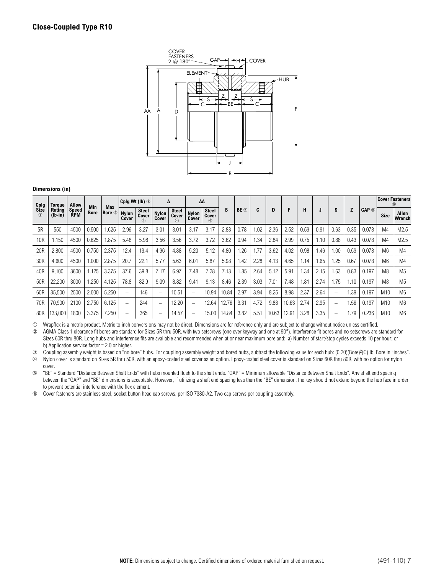

| Cplg            | Torque              | Allow               |             |               |                          | Cplg Wt (lb) $\circledcirc$                |                       | A                               | AA                    |                                         |       |                  |      |       |       |      |      |      |      |                           |                 | <b>Cover Fasteners</b> |
|-----------------|---------------------|---------------------|-------------|---------------|--------------------------|--------------------------------------------|-----------------------|---------------------------------|-----------------------|-----------------------------------------|-------|------------------|------|-------|-------|------|------|------|------|---------------------------|-----------------|------------------------|
| Size<br>$\circ$ | Rating<br>$(lb-in)$ | Speed<br><b>RPM</b> | Min<br>Bore | Max<br>Bore 2 | <b>Nylon</b><br>Cover    | <b>Steel</b><br>Cover<br>$\left( 4\right)$ | <b>Nylon</b><br>Cover | Steel<br>Cover<br>$\circled{4}$ | <b>Nylon</b><br>Cover | <b>Steel</b><br>Cover<br>$^{\circledA}$ | B     | BE <sub>®</sub>  | C    | D     | F     | н    |      | S    |      | <b>GAP <i><b></b></i></b> | <b>Size</b>     | Allen<br>Wrench        |
| 5R              | 550                 | 4500                | 0.500       | .625          | 2.96                     | 3.27                                       | 3.01                  | 3.01                            | 3.17                  | 3.17                                    | 2.83  | 0.78             | 1.02 | 2.36  | 2.52  | 0.59 | 0.91 | 0.63 | 0.35 | 0.078                     | M <sub>4</sub>  | M <sub>2.5</sub>       |
| 10 <sub>R</sub> | 1,150               | 4500                | 0.625       | .875          | 5.48                     | 5.98                                       | 3.56                  | 3.56                            | 3.72                  | 3.72                                    | 3.62  | 0.94             | 1.34 | 2.84  | 2.99  | 0.75 | 1.10 | 0.88 | 0.43 | 0.078                     | M4              | M2.5                   |
| 20 <sub>R</sub> | 2,800               | 4500                | 0.750       | 2.375         | 12.4                     | 13.4                                       | 4.96                  | 4.88                            | 5.20                  | 5.12                                    | 4.80  | .26              | 1.77 | 3.62  | 4.02  | 0.98 | 1.46 | 1.00 | 0.59 | 0.078                     | M <sub>6</sub>  | M4                     |
| 30R             | 4,600               | 4500                | 1.000       | 2.875         | 20.7                     | 22.1                                       | 5.77                  | 5.63                            | 6.01                  | 5.87                                    | 5.98  | 1.42             | 2.28 | 4.13  | 4.65  | 1.14 | 1.65 | .25  | 0.67 | 0.078                     | M <sub>6</sub>  | M4                     |
| 40R             | 9,100               | 3600                | 1.125       | 3.375         | 37.6                     | 39.8                                       | 7.17                  | 6.97                            | 7.48                  | 7.28                                    | 7.13  | i 85             | 2.64 | 5.12  | 5.91  | 1.34 | 2.15 | .63  | 0.83 | 0.197                     | M <sub>8</sub>  | M <sub>5</sub>         |
| 50R             | 22,200              | 3000                | .250        | 4.125         | 78.8                     | 82.9                                       | 9.09                  | 8.82                            | 9.41                  | 9.13                                    | 8.46  | 2.39             | 3.03 | 7.01  | 7.48  | .81  | 2.74 | .75  | 1.10 | 0.197                     | M <sub>8</sub>  | M <sub>5</sub>         |
| 60R             | 35,500              | 2500                | 2.000       | 5.250         | $\overline{\phantom{0}}$ | 146                                        | -                     | 10.51                           |                       | 10.94                                   | 10.84 | 2.97             | 3.94 | 8.25  | 8.98  | 2.37 | 2.64 |      | 1.39 | 0.197                     | M10             | M <sub>6</sub>         |
| 70R             | 70,900              | 2100                | 2.750       | 6.125         | $\overline{\phantom{0}}$ | 244                                        | -                     | 12.20                           |                       | 12.64                                   | 12.76 | 3.3 <sup>1</sup> | 4.72 | 9.88  | 10.63 | 2.74 | 2.95 | -    | 1.56 | 0.197                     | M10             | M <sub>6</sub>         |
| 80R             | 133,000             | 1800                | 3.375       | 250           | $\overline{\phantom{0}}$ | 365                                        | -                     | 14.57                           |                       | 15.00                                   | 14.84 | 3.82             | 5.51 | 10.63 | 12.91 | 3.28 | 3.35 | —    | 1.79 | 0.236                     | M <sub>10</sub> | M <sub>6</sub>         |

➀ Wrapflex is a metric product. Metric to inch conversions may not be direct. Dimensions are for reference only and are subject to change without notice unless certified.

➁ AGMA Class 1 clearance fit bores are standard for Sizes 5R thru 50R, with two setscrews (one over keyway and one at 90°). Interference fit bores and no setscrews are standard for Sizes 60R thru 80R. Long hubs and interference fits are available and recommended when at or near maximum bore and: a) Number of start/stop cycles exceeds 10 per hour; or b) Application service factor = 2.0 or higher.

➂ Coupling assembly weight is based on "no bore" hubs. For coupling assembly weight and bored hubs, subtract the following value for each hub: (0.20)(Bore)2(C) lb. Bore in "inches".

➃ Nylon cover is standard on Sizes 5R thru 50R, with an epoxy-coated steel cover as an option. Epoxy-coated steel cover is standard on Sizes 60R thru 80R, with no option for nylon cover.

➄ "BE" = Standard "Distance Between Shaft Ends" with hubs mounted flush to the shaft ends. "GAP" = Minimum allowable "Distance Between Shaft Ends". Any shaft end spacing between the "GAP" and "BE" dimensions is acceptable. However, if utilizing a shaft end spacing less than the "BE" dimension, the key should not extend beyond the hub face in order to prevent potential interference with the flex element.

➅ Cover fasteners are stainless steel, socket button head cap screws, per ISO 7380-A2. Two cap screws per coupling assembly.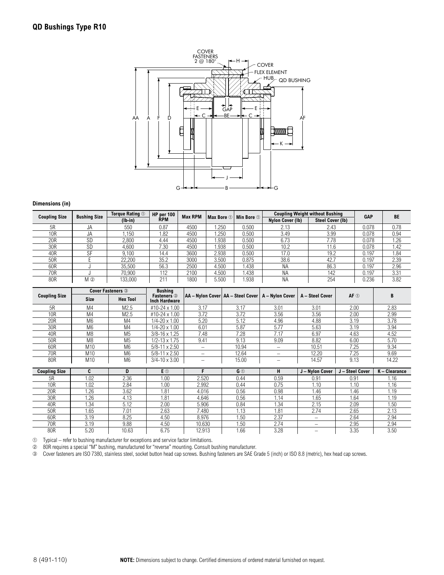

| <b>Coupling Size</b> | <b>Bushing Size</b> | Torque Rating $\mathbb O$ | HP per 100 | <b>Max RPM</b><br>Max Bore 1 | Min Bore 1 |       | <b>Coupling Weight without Bushing</b> | <b>GAP</b>              | <b>BE</b> |      |
|----------------------|---------------------|---------------------------|------------|------------------------------|------------|-------|----------------------------------------|-------------------------|-----------|------|
|                      |                     | $(Ib-in)$                 | <b>RPM</b> |                              |            |       | Nylon Cover (Ib)                       | <b>Steel Cover (Ib)</b> |           |      |
| 5R                   | JA                  | 550                       | 0.87       | 4500                         | .250       | 0.500 | 2.13                                   | 2.43                    | 0.078     | 0.78 |
| 10 <sub>R</sub>      | JA.                 | .150                      | .82        | 4500                         | .250       | 0.500 | 3.49                                   | 3.99                    | 0.078     | 0.94 |
| 20R                  | SD                  | 2,800                     | 4.44       | 4500                         | 1.938      | 0.500 | 6.73                                   | 7.78                    | 0.078     | 1.26 |
| 30R                  | <b>SD</b>           | 4.600                     | 7.30       | 4500                         | 1.938      | 0.500 | 10.2                                   | 1.6                     | 0.078     | 1.42 |
| 40R                  | <b>SF</b>           | 9.100                     | 14.4       | 3600                         | 2.938      | 0.500 | 17.0                                   | 19.2                    | 0.197     | 1.84 |
| 50R                  |                     | 22,200                    | 35.2       | 3000                         | 3.500      | 0.875 | 38.6                                   | 42.7                    | 0.197     | 2.39 |
| 60R                  |                     | 35.500                    | 56.3       | 2500                         | 4.500      | 1.438 | ΝA                                     | 86.3                    | 0.197     | 2.96 |
| 70R                  |                     | 70.900                    | 112        | 2100                         | 4.500      | 1.438 | ΝA                                     | 142                     | 0.197     | 3.31 |
| 80R                  | $M$ ②               | 133.000                   | 21'        | 1800                         | 5.500      | .938  | <b>NA</b>                              | 254                     | 0.236     | 3.82 |

|                      |                | <b>Cover Fasteners 3</b> | <b>Bushing</b>                             |                                                       |                |                          |                 |                     |               |
|----------------------|----------------|--------------------------|--------------------------------------------|-------------------------------------------------------|----------------|--------------------------|-----------------|---------------------|---------------|
| <b>Coupling Size</b> | <b>Size</b>    | <b>Hex Tool</b>          | <b>Fasteners</b> 3<br><b>Inch Hardware</b> | AA - Nylon Cover   AA - Steel Cover   A - Nylon Cover |                |                          | A - Steel Cover | $AF$ $\circledcirc$ | B             |
| 5R                   | M4             | M <sub>2.5</sub>         | #10-24 x 1.00                              | 3.17                                                  | 3.17           | 3.01                     | 3.01            | 2.00                | 2.83          |
| 10 <sub>R</sub>      | M4             | M <sub>2.5</sub>         | #10-24 x 1.00                              | 3.72                                                  | 3.72           | 3.56                     | 3.56            | 2.00                | 2.99          |
| 20R                  | M <sub>6</sub> | M <sub>4</sub>           | $1/4 - 20 \times 1.00$                     | 5.20                                                  | 5.12           | 4.96                     | 4.88            | 3.19                | 3.78          |
| 30R                  | M <sub>6</sub> | M <sub>4</sub>           | $1/4 - 20 \times 1.00$                     | 6.01                                                  | 5.87           | 5.77                     | 5.63            | 3.19                | 3.94          |
| 40R                  | M <sub>8</sub> | M <sub>5</sub>           | $3/8 - 16 \times 1.25$                     | 7.48                                                  | 7.28           | 7.17                     | 6.97            | 4.63                | 4.52          |
| 50R                  | M8             | M <sub>5</sub>           | $1/2 - 13 \times 1.75$                     | 9.41                                                  | 9.13           | 9.09                     | 8.82            | 6.00                | 5.70          |
| 60R                  | M10            | M <sub>6</sub>           | $5/8 - 11 \times 2.50$                     | $\qquad \qquad$                                       | 10.94          | $\overline{\phantom{m}}$ | 10.51           | 7.25                | 9.34          |
| 70R                  | M10            | M <sub>6</sub>           | $5/8 - 11 \times 2.50$                     | $\qquad \qquad -$                                     | 12.64          | -                        | 12.20           | 7.25                | 9.69          |
| 80R                  | M10            | M <sub>6</sub>           | $3/4 - 10 \times 3.00$                     | $\overline{\phantom{0}}$                              | 15.00          | $\overline{\phantom{0}}$ | 14.57           | 9.13                | 14.22         |
|                      |                |                          |                                            |                                                       |                |                          |                 |                     |               |
|                      |                |                          |                                            |                                                       |                |                          |                 |                     |               |
| <b>Coupling Size</b> | C              | D                        | E ①                                        | F                                                     | G <sup>①</sup> | н                        | J – Nylon Cover | J - Steel Cover     | K - Clearance |
| 5R                   | 1.02           | 2.36                     | 1.00                                       | 2.520                                                 | 0.44           | 0.59                     | 0.91            | 0.91                | 1.16          |
| 10R                  | 1.02           | 2.84                     | 1.00                                       | 2.992                                                 | 0.44           | 0.75                     | 1.10            | 1.10                | 1.16          |
| 20R                  | 1.26           | 3.62                     | 1.81                                       | 4.016                                                 | 0.56           | 0.98                     | 1.46            | 1.46                | 1.19          |
| 30R                  | 1.26           | 4.13                     | 1.81                                       | 4.646                                                 | 0.56           | 1.14                     | 1.65            | 1.64                | 1.19          |
| 40R                  | 1.34           | 5.12                     | 2.00                                       | 5.906                                                 | 0.84           | 1.34                     | 2.15            | 2.09                | 1.50          |
| 50R                  | 1.65           | 7.01                     | 2.63                                       | 7.480                                                 | 1.13           | 1.81                     | 2.74            | 2.65                | 2.13          |
| 60R                  | 3.19           | 8.25                     | 4.50                                       | 8.976                                                 | 1.50           | 2.37                     | -               | 2.64                | 2.94          |
| 70R                  | 3.19           | 9.88                     | 4.50                                       | 10.630                                                | 1.50           | 2.74                     | -               | 2.95                | 2.94          |

➀ Typical – refer to bushing manufacturer for exceptions and service factor limitations.

➁ 80R requires a special "M" bushing, manufactured for "reverse" mounting. Consult bushing manufacturer.

➂ Cover fasteners are ISO 7380, stainless steel, socket button head cap screws. Bushing fasteners are SAE Grade 5 (inch) or ISO 8.8 (metric), hex head cap screws.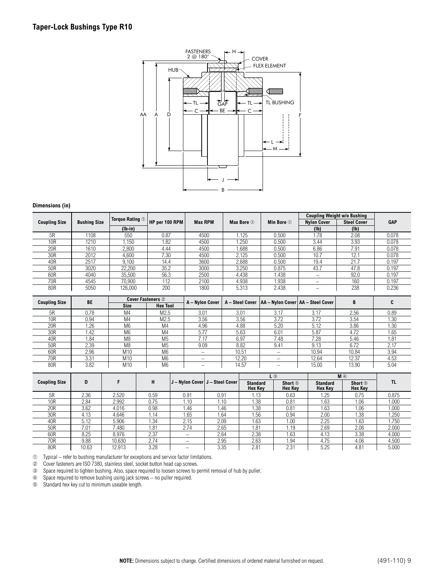

|                      | Torque Rating 1     |           |                |                |            |                         | <b>Coupling Weight w/o Bushing</b> |                    |            |
|----------------------|---------------------|-----------|----------------|----------------|------------|-------------------------|------------------------------------|--------------------|------------|
| <b>Coupling Size</b> | <b>Bushing Size</b> |           | HP per 100 RPM | <b>Max RPM</b> | Max Bore 1 | Min Bore $\circledcirc$ | <b>Nylon Cover</b>                 | <b>Steel Cover</b> | <b>GAP</b> |
|                      |                     | $(lb-in)$ |                |                |            |                         | (1b)                               | (Ib)               |            |
| 5R                   | 1108                | 550       | 0.87           | 4500           | . 125      | 0.500                   | i.78                               | 2.08               | 0.078      |
| 10R                  | 1210                | .150      | 1.82           | 4500           | .250       | 0.500                   | 3.44                               | 3.93               | 0.078      |
| 20 <sub>R</sub>      | 1610                | 2,800     | 4.44           | 4500           | .688       | 0.500                   | 6.86                               | 7.91               | 0.078      |
| 30R                  | 2012                | 4.600     | 7.30           | 4500           | 2.125      | 0.500                   | 10.7                               | 12.1               | 0.078      |
| 40R                  | 2517                | 9.100     | 14.4           | 3600           | 2.688      | 0.500                   | 19.4                               | 21.7               | 0.197      |
| 50R                  | 3020                | 22,200    | 35.2           | 3000           | 3.250      | 0.875                   | 43.7                               | 47.8               | 0.197      |
| 60R                  | 4040                | 35,500    | 56.3           | 2500           | 4.438      | 1.438                   | -                                  | 92.0               | 0.197      |
| 70R                  | 4545                | 70.900    | 112            | 2100           | 4.938      | 1.938                   |                                    | 160                | 0.197      |
| 80R                  | 5050                | 126.000   | 200            | 1800           | 5.313      | 2.438                   | -                                  | 238                | 0.236      |

| <b>Coupling Size</b> | BE   |                | <b>Cover Fasteners 2</b> | A - Nylon Cover |       | A - Steel Cover   AA - Nylon Cover   AA - Steel Cover |       | B     |      |
|----------------------|------|----------------|--------------------------|-----------------|-------|-------------------------------------------------------|-------|-------|------|
|                      |      | <b>Size</b>    | <b>Hex Tool</b>          |                 |       |                                                       |       |       |      |
| 5R                   | 0.78 | M4             | M <sub>2.5</sub>         | 3.01            | 3.01  | 3.17                                                  | 3.17  | 2.56  | 0.89 |
| 10 <sub>R</sub>      | 0.94 | M <sub>4</sub> | M <sub>2.5</sub>         | 3.56            | 3.56  | 3.72                                                  | 3.72  | 3.54  | 1.30 |
| 20R                  | 1.26 | M <sub>6</sub> | M4                       | 4.96            | 4.88  | 5.20                                                  | 5.12  | 3.86  | 1.30 |
| 30R                  | 1.42 | M <sub>6</sub> | M4                       | 5.77            | 5.63  | 6.01                                                  | 5.87  | 4.72  | 1.65 |
| 40R                  | 1.84 | M <sub>8</sub> | M <sub>5</sub>           | 7.17            | 6.97  | 7.48                                                  | 7.28  | 5.46  | 1.81 |
| 50R                  | 2.39 | M <sub>8</sub> | M <sub>5</sub>           | 9.09            | 8.82  | 9.41                                                  | 9.13  | 6.72  | 2.17 |
| 60R                  | 2.96 | M10            | M <sub>6</sub>           | -               | 10.51 |                                                       | 10.94 | 10.84 | 3.94 |
| 70R                  | 3.31 | M10            | M <sub>6</sub>           | -               | 12.20 |                                                       | 12.64 | 12.37 | 4.53 |
| 80R                  | 3.82 | M10            | M6                       | –               | 14.57 | -                                                     | 15.00 | 13.90 | 5.04 |

|                      |       |        |      |                          |                                  | $L$ ③                      |                           | $M$ $\circledcirc$                |                                      |       |
|----------------------|-------|--------|------|--------------------------|----------------------------------|----------------------------|---------------------------|-----------------------------------|--------------------------------------|-------|
| <b>Coupling Size</b> | D     |        | н    |                          | J - Nylon Cover  J - Steel Cover | <b>Standard</b><br>Hex Key | Short 5<br><b>Hex Key</b> | <b>Standard</b><br><b>Hex Key</b> | Short <sup>5</sup><br><b>Hex Key</b> | TL    |
| 5R                   | 2.36  | 2.520  | 0.59 | 0.91                     | 0.91                             | 1.13                       | 0.63                      | 1.25                              | 0.75                                 | 0.875 |
| 10R                  | 2.84  | 2.992  | 0.75 | 1.10                     | 1.10                             | 1.38                       | 0.81                      | 1.63                              | 1.06                                 | 1.000 |
| 20 <sub>R</sub>      | 3.62  | 4.016  | 0.98 | 1.46                     | .46                              | .38                        | 0.81                      | 1.63                              | 0.06                                 | 000.1 |
| 30R                  | 4.13  | 4.646  | 1.14 | 1.65                     | 1.64                             | 1.56                       | 0.94                      | 2.00                              | 1.38                                 | 1.250 |
| 40R                  | 5.12  | 5.906  | 1.34 | 2.15                     | 2.09                             | 1.63                       | 1.00                      | 2.25                              | 1.63                                 | .750  |
| 50R                  | 7.01  | 7.480  | 1.81 | 2.74                     | 2.65                             | .81                        | 1.19                      | 2.69                              | 2.06                                 | 2.000 |
| 60R                  | 8.25  | 8.976  | 2.37 | $\overline{\phantom{m}}$ | 2.64                             | 2.38                       | 1.63                      | 4.13                              | 3.38                                 | 4.000 |
| 70R                  | 9.88  | 10.630 | 2.74 |                          | 2.95                             | 2.63                       | 1.94                      | 4.75                              | 4.06                                 | 4.500 |
| 80R                  | 10.63 | 12.913 | 3.28 | $\overline{\phantom{0}}$ | 3.35                             | 2.81                       | 2.31                      | 5.25                              | 4.81                                 | 5.000 |

➀ Typical – refer to bushing manufacturer for exceptions and service factor limitations.

➁ Cover fasteners are ISO 7380, stainless steel, socket button head cap screws.

➂ Space required to tighten bushing. Also, space required to loosen screws to permit removal of hub by puller.

➃ Space required to remove bushing using jack screws – no puller required.

➄ Standard hex key cut to minimum useable length.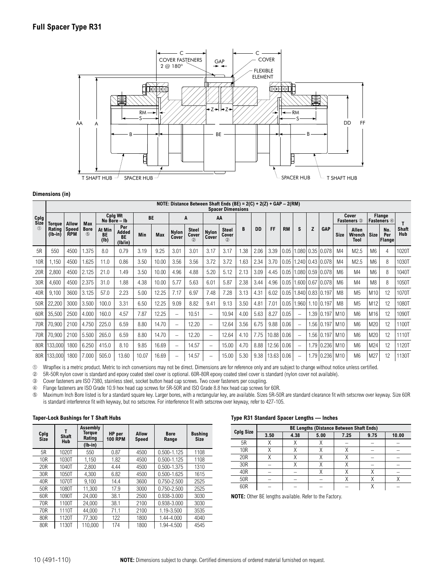

## **NOTE: Distance Between Shaft Ends (BE) = 2(C) + 2(Z) + GAP – 2(RM) Spacer Dimensions**

|                 | Spacer Dimensions   |                     |                    |                      |                                      |       |            |                          |                              |                          |                                         |      |           |                 |      |                  |      |                       |                 |                             |                |                              |                     |
|-----------------|---------------------|---------------------|--------------------|----------------------|--------------------------------------|-------|------------|--------------------------|------------------------------|--------------------------|-----------------------------------------|------|-----------|-----------------|------|------------------|------|-----------------------|-----------------|-----------------------------|----------------|------------------------------|---------------------|
| Cplg<br>Size    | <b>Toraue</b>       | Allow               | Max                |                      | Cplg Wt<br>No Bore - Ib              |       | <b>BE</b>  |                          | A                            |                          | AA                                      |      |           |                 |      |                  |      |                       |                 | Cover<br><b>Fasteners</b> 3 |                | Flange<br><b>Fasteners</b> 4 |                     |
| (1)             | Rating<br>$(lb-in)$ | Speed<br><b>RPM</b> | <b>Bore</b><br>(5) | At Min<br>BE<br>(1b) | Per<br>Added<br><b>BE</b><br>(Ib/in) | Min   | <b>Max</b> | <b>Nylon</b><br>Cover    | <b>Steel</b><br>Cover<br>(2) | <b>Nylon</b><br>Cover    | <b>Steel</b><br>Cover<br>$^{\circledR}$ | B    | <b>DD</b> | FF<br><b>RM</b> |      | S                | Z    | <b>GAP</b>            | <b>Size</b>     | Allen<br>Wrench<br>Tool     | <b>Size</b>    | No.<br>Per<br>Flange         | Shaft<br><b>Hub</b> |
| 5R              | 550                 | 4500                | .375               | 8.0                  | 0.79                                 | 3.19  | 9.25       | 3.01                     | 3.01                         | 3.17                     | 3.17                                    | 1.38 | 2.06      | 3.39            | 0.05 | 1.0801           |      | 0.35 0.078            | M <sub>4</sub>  | M2.5                        | M <sub>6</sub> | 4                            | 1020T               |
| 10R             | .150                | 4500                | 1.625              | 11.0                 | 0.86                                 | 3.50  | 10.00      | 3.56                     | 3.56                         | 3.72                     | 3.72                                    | 1.63 | 2.34      | 3.70            | 0.05 |                  |      | 1.240 0.43 0.078      | M4              | M <sub>2.5</sub>            | M6             | 8                            | 1030T               |
| 20 <sub>R</sub> | 2,800               | 4500                | 2.125              | 21.0                 | 1.49                                 | 3.50  | 10.00      | 4.96                     | 4.88                         | 5.20                     | 5.12                                    | 2.13 | 3.09      | 4.45            | 0.05 |                  |      | 1.080 0.59 0.078      | M <sub>6</sub>  | M <sub>4</sub>              | M6             | 8                            | 1040T               |
| 30R             | 4,600               | 4500                | 2.375              | 31.0                 | 1.88                                 | 4.38  | 10.00      | 5.77                     | 5.63                         | 6.01                     | 5.87                                    | 2.38 | 3.44      | 4.96            | 0.05 |                  |      | 1.600 0.67 0.078      | M <sub>6</sub>  | M <sub>4</sub>              | M <sub>8</sub> | 8                            | 1050T               |
| 40 <sub>R</sub> | 9,100               | 3600                | 3.125              | 57.0                 | 2.23                                 | 5.00  | 12.25      | 7.17                     | 6.97                         | 7.48                     | 7.28                                    | 3.13 | 4.31      | 6.02            | 0.05 | 1.840 0.83 0.197 |      |                       | M <sub>8</sub>  | M <sub>5</sub>              | M10            | 12                           | 1070T               |
| 50R             | 22,200              | 3000                | 3.500              | 100.0                | 3.31                                 | 6.50  | 12.25      | 9.09                     | 8.82                         | 9.41                     | 9.13                                    | 3.50 | 4.81      | 7.01            | 0.05 | 1.960            |      | 1.10   0.197          | M <sub>8</sub>  | M <sub>5</sub>              | M12            | 12                           | 1080T               |
| 60R             | 35,500              | 2500                | 4.000              | 160.0                | 4.57                                 | 7.87  | 12.25      | $\overline{\phantom{m}}$ | 10.51                        | $\overline{\phantom{m}}$ | 10.94                                   | 4.00 | 5.63      | 8.27            | 0.05 |                  | 1.39 | 0.197                 | M <sub>10</sub> | M <sub>6</sub>              | M16            | 12                           | 1090T               |
| 70 <sub>R</sub> | 70,900              | 2100                | 4.750              | 225.0                | 6.59                                 | 8.80  | 14.70      | $\overline{\phantom{0}}$ | 12.20                        | $\overline{\phantom{0}}$ | 12.64                                   | 3.56 | 6.75      | 9.88            | 0.06 |                  | 1.56 | 0.197                 | M <sub>10</sub> | M <sub>6</sub>              | M20            | 12                           | 1100T               |
| 70 <sub>R</sub> | 70,900              | 2100                | 5.500              | 265.0                | 6.59                                 | 8.80  | 14.70      | $\overline{\phantom{m}}$ | 12.20                        | $\overline{\phantom{0}}$ | 12.64                                   | 4.10 | 7.75      | 10.88           | 0.06 |                  | 1.56 | 0.197                 | M <sub>10</sub> | M <sub>6</sub>              | M20            | 12                           | 1110T               |
| 80R             | 133,000             | 1800                | 6.250              | 415.0                | 8.10                                 | 9.85  | 16.69      | $\overline{\phantom{0}}$ | 14.57                        | $\overline{\phantom{0}}$ | 15.00                                   | 4.70 | 8.88      | 12.56           | 0.06 |                  | 1.79 | 0.236                 | M <sub>10</sub> | M <sub>6</sub>              | M24            | 12                           | 1120T               |
|                 | 80R 133,000         | 1800                | 7.000              | 505.0                | 13.60                                | 10.07 | 16.69      | -                        | 14.57                        |                          | 15.00                                   | 5.30 | 9.38      | 13.63   0.06    |      |                  |      | $.79 \mid 0.236 \mid$ | M10             | M <sub>6</sub>              | M27            | 12                           | 1130T               |

➀ Wrapflex is a metric product. Metric to inch conversions may not be direct. Dimensions are for reference only and are subject to change without notice unless certified.

➁ 5R-50R nylon cover is standard and epoxy coated steel cover is optional. 60R-80R epoxy coated steel cover is standard (nylon cover not available).

➂ Cover fasteners are ISO 7380, stainless steel, socket button head cap screws. Two cover fasteners per coupling.

➃ Flange fasteners are ISO Grade 10.9 hex head cap screws for 5R-50R and ISO Grade 8.8 hex head cap screws for 60R.

Maximum Inch Bore listed is for a standard square key. Larger bores, with a rectangular key, are available. Sizes 5R-50R are standard clearance fit with setscrew over keyway. Size 60R is standard interference fit with keyway, but no setscrew. For interference fit with setscrew over keyway, refer to 427-105.

#### **Taper-Lock Bushings for T Shaft Hubs**

| Cplg<br>Size | <b>Shaft</b><br><b>Hub</b> | Assembly<br>Torque<br>Rating | HP per<br>100 RPM | Allow<br><b>Speed</b> | <b>Bore</b><br>Range | <b>Bushing</b><br><b>Size</b> |
|--------------|----------------------------|------------------------------|-------------------|-----------------------|----------------------|-------------------------------|
|              |                            | $(lb-in)$                    |                   |                       |                      |                               |
| 5R           | 1020T                      | 550                          | 0.87              | 4500                  | $0.500 - 1.125$      | 1108                          |
| 10R          | 1030T                      | 1.150                        | 1.82              | 4500                  | $0.500 - 1.125$      | 1108                          |
| 20R          | 1040T                      | 2.800                        | 4.44              | 4500                  | $0.500 - 1.375$      | 1310                          |
| 30R          | 1050T                      | 4.300                        | 6.82              | 4500                  | 0.500-1.625          | 1615                          |
| 40R          | 1070T                      | 9.100                        | 14.4              | 3600                  | $0.750 - 2.500$      | 2525                          |
| 50R          | 1080T                      | 11.300                       | 17.9              | 3000                  | $0.750 - 2.500$      | 2525                          |
| 60R          | 1090T                      | 24.000                       | 38.1              | 2500                  | 0.938-3.000          | 3030                          |
| 70R          | 1100T                      | 24.000                       | 38.1              | 2100                  | 0.938-3.000          | 3030                          |
| 70R          | 1110T                      | 44.000                       | 71.1              | 2100                  | 1.19-3.500           | 3535                          |
| 80R          | 1120T                      | 77.300                       | 122               | 1800                  | 1.44-4.000           | 4040                          |
| 80R          | 1130T                      | 110.000                      | 174               | 1800                  | 1.94-4.500           | 4545                          |

#### **Type R31 Standard Spacer Lengths — Inches**

|                  | BE Lengths (Distance Between Shaft Ends) |      |      |      |      |       |  |  |  |  |  |  |  |
|------------------|------------------------------------------|------|------|------|------|-------|--|--|--|--|--|--|--|
| <b>Cplg Size</b> | 3.50                                     | 4.38 | 5.00 | 7.25 | 9.75 | 10.00 |  |  |  |  |  |  |  |
| 5R               | Χ                                        |      |      |      |      |       |  |  |  |  |  |  |  |
| <b>10R</b>       |                                          |      |      |      |      |       |  |  |  |  |  |  |  |
| 20R              |                                          |      |      |      |      |       |  |  |  |  |  |  |  |
| 30R              |                                          |      |      | Λ    |      |       |  |  |  |  |  |  |  |
| 40R              |                                          |      |      |      |      |       |  |  |  |  |  |  |  |
| 50R              |                                          |      |      | л    |      |       |  |  |  |  |  |  |  |
| 60R              |                                          |      |      |      |      |       |  |  |  |  |  |  |  |

**NOTE:** Other BE lengths available. Refer to the Factory.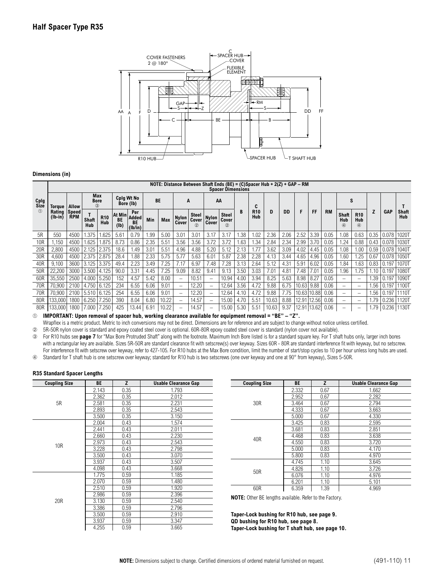

#### **Cplg Size**  $(1)$ **NOTE: Distance Between Shaft Ends (BE) = (C)Spacer Hub + 2(Z) + GAP – RM Spacer Dimensions Torque Rating (lb-in) Allow Speed RPM Max Bore** ➂ **Cplg Wt No Bore (lb) BE <sup>A</sup> AA B C R10 Hub D DD F FF RM S Z GAP T Shaft**  $\frac{1}{\sqrt{1-x}}$   $\begin{bmatrix} 1 & 1 & 1 \\ 1 & 1 & 1 \end{bmatrix}$   $\begin{bmatrix} 1 & 1 & 1 \\ 1 & 1 & 1 \end{bmatrix}$   $\begin{bmatrix} 1 & 1 & 1 \\ 1 & 1 & 1 \end{bmatrix}$   $\begin{bmatrix} 1 & 1 & 1 \\ 1 & 1 & 1 \end{bmatrix}$   $\begin{bmatrix} 1 & 1 & 1 \\ 1 & 1 & 1 \end{bmatrix}$   $\begin{bmatrix} 1 & 1 & 1 \\ 1 & 1 & 1 \end{bmatrix}$   $\begin{bmatrix} 1 & 1 & 1$ **Shaft Hub R10 Hub At Min BE (lb) Per Added BE (lb/in) Min Max Nylon Cover Steel** Cover  $(2)$ **Nylon Cover Steel** Cover  $(2)$ **Shaft Hub**  $\overline{a}$ **R10 Hub**  $\overline{a}$ 5R | 550 |4500 |1.375 |1.625 | 5.61 | 0.79 | 1.99 | 5.00 | 3.01 | 3.01 | 3.17 | 3.17 | 1.38 | 1.02 | 2.36 | 2.06 |2.52 |3.39 | 0.05 | 1.08 | 0.63 | 0.05 | 0.05 | 0.078 |1020T 10R 1,150 4500 1.625 1.875 8.73 0.86 2.35 5.51 3.56 3.56 3.72 3.72 1.63 1.34 2.84 2.34 2.99 3.70 0.05 1.24 0.88 0.43 0.078 1030T 20R | 2,800 | 4500 | 2.125 | 2.375 | 18.6 | 1.49 | 3.01 | 5.51 | 4.96 | 4.88 | 5.20 | 5.12 | 2.13 | 1.77 | 3.62 | 3.09 | 4.02 | 4.45 | 0.05 | 1.08 | 1.08 | 1.00 | 0.59 | 0.078 |1040T 30R | 4,600 | 4500 | 2.375 | 2.875 | 28.4 | 1.88 | 2.33 | 5.75 | 5.77 | 5.63 | 6.01 | 5.87 | 2.38 | 2.28 | 4.13 | 3.44 | 4.65 | 4.96 | 0.05 | 1.60 | 1.25 | 0.67 | 0.078 |1050T 40R | 9,100 | 3600 | 3.125 | 3.375 | 49.4 | 2.23 | 3.49 | 7.25 | 7.17 | 6.97 | 7.48 | 7.28 | 3.13 | 2.64 | 5.12 | 4.31 | 5.91 | 6.02 | 0.05 | 1.84 | 1.63 | 0.83 | 0.197 | 1070T 50R 22,200 3000 3.500 4.125 90.0 3.31 4.45 7.25 9.09 8.82 9.41 9.13 3.50 3.03 7.01 4.81 7.48 7.01 0.05 1.96 1.75 1.10 0.197 1080T 60R 35,550 2500 4.000 5.250 152 4.57 5.42 8.00 – 10.51 – 10.94 4.00 3.94 8.25 5.63 8.98 8.27 0.05 – – 1.39 0.197 1090T 70R 70,900 2100 4.750 6.125 234 6.55 6.06 9.01 – 12.20 – 12.64 3.56 4.72 9.88 6.75 10.63 9.88 0.06 – – 1.56 0.197 1100T 70R 70,900 2100 5.510 6.125 254 6.55 6.06 9.01 – 12.20 – 12.64 4.10 4.72 9.88 7.75 10.63 10.88 0.06 – – 1.56 0.197 1110T 80R 133,000 1800 6.250 7.250 390 8.04 6.80 10.22 – 14.57 – 15.00 4.70 5.51 10.63 8.88 12.91 12.56 0.06 – – 1.79 0.236 1120T 80R 133,000 1800 7.000 7.250 | 425 | 13.44 | 6.91 | 10.22 |  $-$  | 14.57 |  $-$  | 15.00 | 5.30 | 5.51 | 10.63 | 9.37 | 12.91 | 13.62 | 0.06 |  $-$  |  $-$  | 1.79 | 0.236 | 1130T

➀ **IMPORTANT: Upon removal of spacer hub, working clearance available for equipment removal = "BE" – "Z".**

Wrapflex is a metric product. Metric to inch conversions may not be direct. Dimensions are for reference and are subject to change without notice unless certified.

➁ 5R-50R nylon cover is standard and epoxy coated steel cover is optional. 60R-80R epoxy coated steel cover is standard (nylon cover not available).

➂ For R10 hubs see **page 7** for "Max Bore Protruded Shaft" along with the footnote. Maximum Inch Bore listed is for a standard square key. For T shaft hubs only, larger inch bores with a rectangular key are available. Sizes 5R-50R are standard clearance fit with setscrew(s) over keyway. Sizes 60R - 80R are standard interference fit with keyway, but no setscrew. For interference fit with setscrew over keyway, refer to 427-105. For R10 hubs at the Max Bore condition, limit the number of start/stop cycles to 10 per hour unless long hubs are used.

➃ Standard for T shaft hub is one setscrew over keyway; standard for R10 hub is two setscrews (one over keyway and one at 90° from keyway), Sizes 5-50R.

#### **R35 Standard Spacer Lengths**

| <b>Coupling Size</b> | <b>BE</b> | z    | <b>Usable Clearance Gap</b> |
|----------------------|-----------|------|-----------------------------|
|                      | 2.143     | 0.35 | 1.793                       |
|                      | 2.362     | 0.35 | 2.012                       |
| 5R                   | 2.581     | 0.35 | 2.231                       |
|                      | 2.893     | 0.35 | 2.543                       |
|                      | 3.500     | 0.35 | 3.150                       |
|                      | 2.004     | 0.43 | 1.574                       |
|                      | 2.441     | 0.43 | 2.011                       |
|                      | 2.660     | 0.43 | 2.230                       |
| 10 <sub>R</sub>      | 2.973     | 0.43 | 2.543                       |
|                      | 3.228     | 0.43 | 2.798                       |
|                      | 3.500     | 0.43 | 3.070                       |
|                      | 3.937     | 0.43 | 3.507                       |
|                      | 4.098     | 0.43 | 3.668                       |
|                      | 1.775     | 0.59 | 1.185                       |
|                      | 2.070     | 0.59 | 1.480                       |
|                      | 2.510     | 0.59 | 1.920                       |
|                      | 2.986     | 0.59 | 2.396                       |
| 20R                  | 3.130     | 0.59 | 2.540                       |
|                      | 3.386     | 0.59 | 2.796                       |
|                      | 3.500     | 0.59 | 2.910                       |
|                      | 3.937     | 0.59 | 3.347                       |
|                      | 4.255     | 0.59 | 3.665                       |

| <b>Coupling Size</b> | BE    | z    | <b>Usable Clearance Gap</b> |
|----------------------|-------|------|-----------------------------|
|                      | 2.332 | 0.67 | 1.662                       |
|                      | 2.952 | 0.67 | 2.282                       |
| 30R                  | 3.464 | 0.67 | 2.794                       |
|                      | 4.333 | 0.67 | 3.663                       |
|                      | 5.000 | 0.67 | 4.330                       |
|                      | 3.425 | 0.83 | 2.595                       |
|                      | 3.681 | 0.83 | 2.851                       |
| 40R                  | 4.468 | 0.83 | 3.638                       |
|                      | 4.550 | 0.83 | 3.720                       |
|                      | 5.000 | 0.83 | 4.170                       |
|                      | 5.800 | 0.83 | 4.970                       |
|                      | 4.745 | 1.10 | 3.645                       |
| 50R                  | 4.826 | 1.10 | 3.726                       |
|                      | 6.076 | 1.10 | 4.976                       |
|                      | 6.201 | 1.10 | 5.101                       |
| 60R                  | 6.359 | 1.39 | 4.969                       |
|                      |       |      |                             |

**NOTE:** Other BE lengths available. Refer to the Factory.

**Taper-Lock bushing for R10 hub, see page 9. QD bushing for R10 hub, see page 8. Taper-Lock bushing for T shaft hub, see page 10.**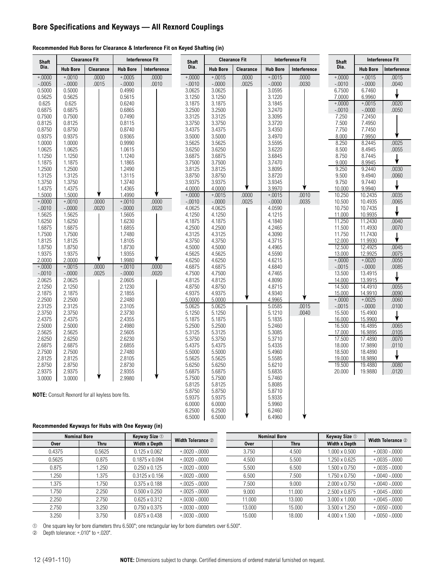## **Bore Specifications and Keyways — All Rexnord Couplings**

#### **Recommended Hub Bores for Clearance & Interference Fit on Keyed Shafting (in)**

| <b>Shaft</b>       |                    | <b>Clearance Fit</b>                                    |                    | <b>Interference Fit</b> | <b>Shaft</b>     |                  | <b>Clearance Fit</b> |                  | <b>Interference Fit</b> | Shaft             |                    | <b>Interference Fit</b> |
|--------------------|--------------------|---------------------------------------------------------|--------------------|-------------------------|------------------|------------------|----------------------|------------------|-------------------------|-------------------|--------------------|-------------------------|
| Dia.               | <b>Hub Bore</b>    | Clearance                                               | <b>Hub Bore</b>    | Interference            | Dia.             | <b>Hub Bore</b>  | Clearance            | <b>Hub Bore</b>  | Interference            | Dia.              | <b>Hub Bore</b>    | Interference            |
| $+.0000$           | $+.0010$           | .0000                                                   | $+.0005$           | .0000                   | $+.0000 +$       | $+0015$          | .0000                | $+0015$          | .0000                   | $+.0000$          | $+.0015$           | .0015                   |
| $-.0005$           | $-.0000$           | .0015                                                   | $-.0000$           | .0010                   | $-0010$          | $-.0000$         | .0025                | $-.0000$         | .0030                   | $-.0010$          | $-.0000$           | .0040                   |
| 0.5000             | 0.5000             |                                                         | 0.4990             |                         | 3.0625           | 3.0625           |                      | 3.0595           |                         | 6.7500            | 6.7460             |                         |
| 0.5625             | 0.5625             |                                                         | 0.5615             |                         | 3.1250           | 3.1250           |                      | 3.1220           |                         | 7.0000            | 6.9960             |                         |
| 0.625              | 0.625              |                                                         | 0.6240             |                         | 3.1875           | 3.1875           |                      | 3.1845           |                         | $+0000 +$         | $+.0015$           | .0020                   |
| 0.6875<br>0.7500   | 0.6875<br>0.7500   |                                                         | 0.6865<br>0.7490   |                         | 3.2500<br>3.3125 | 3.2500<br>3.3125 |                      | 3.2470<br>3.3095 |                         | $-.0010$<br>7.250 | $-.0000$<br>7.2450 | .0050                   |
| 0.8125             | 0.8125             |                                                         | 0.8115             |                         | 3.3750           | 3.3750           |                      | 3.3720           |                         | 7.500             | 7.4950             |                         |
| 0.8750             | 0.8750             |                                                         | 0.8740             |                         | 3.4375           | 3.4375           |                      | 3.4350           |                         | 7.750             | 7.7450             |                         |
| 0.9375             | 0.9375             |                                                         | 0.9365             |                         | 3.5000           | 3.5000           |                      | 3.4970           |                         | 8.000             | 7.9950             |                         |
| 1.0000             | 1.0000             |                                                         | 0.9990             |                         | 3.5625           | 3.5625           |                      | 3.5595           |                         | 8.250             | 8.2445             | .0025                   |
| 1.0625             | 1.0625             |                                                         | 1.0615             |                         | 3.6250           | 3.6250           |                      | 3.6220           |                         | 8.500             | 8.4945             | .0055                   |
| 1.1250             | 1.1250             |                                                         | 1.1240             |                         | 3.6875           | 3.6875           |                      | 3.6845           |                         | 8.750             | 8.7445             |                         |
| 1.1875             | 1.1875             |                                                         | 1.1865             |                         | 3.7500           | 3.7500           |                      | 3.7470           |                         | 9.000             | 8.9945             | ↓                       |
| 1.2500             | 1.2500             |                                                         | 1.2490             |                         | 3.8125           | 3.8125           |                      | 3.8095           |                         | 9.250             | 9.2440             | .0030                   |
| 1.3125             | 1.3125             |                                                         | 1.3115             |                         | 3.8750           | 3.8750           |                      | 3.8720           |                         | 9.500             | 9.4940             | .0060                   |
| 1.3750             | 1.3750             |                                                         | 1.3740             |                         | 3.9375           | 3.9375           |                      | 3.9345           |                         | 9.750             | 9.7440             |                         |
| 1.4375             | 1.4375             |                                                         | 1.4365             |                         | 4.0000           | 4.0000           |                      | 3.9970           |                         | 10.000            | 9.9940             | ₩                       |
| 1.5000             | 1.5000             |                                                         | 1.4990             |                         | $+.0000$         | $+.0015$         | .0000                | $+.0015$         | .0010                   | 10.250            | 10.2435            | .0035                   |
| $+.0000$           | $+.0010$           | .0000                                                   | $+.0010$           | .0000                   | $-.0010$         | $-.0000$         | .0025                | $-.0000$         | .0035                   | 10.500            | 10.4935            | .0065                   |
| $-.0010$           | $-.0000$           | .0020                                                   | $-.0000$           | .0020                   | 4.0625           | 4.0625           |                      | 4.0590           |                         | 10.750            | 10.7435            |                         |
| 1.5625             | 1.5625             |                                                         | 1.5605             |                         | 4.1250           | 4.1250           |                      | 4.1215           |                         | 11.000            | 10.9935            |                         |
| 1.6250             | 1.6250             |                                                         | 1.6230             |                         | 4.1875           | 4.1875           |                      | 4.1840           |                         | 11.250            | 11.2430            | .0040                   |
| 1.6875             | 1.6875             |                                                         | 1.6855             |                         | 4.2500           | 4.2500           |                      | 4.2465           |                         | 11.500            | 11.4930            | .0070                   |
| 1.7500             | 1.7500             |                                                         | 1.7480             |                         | 4.3125           | 4.3125           |                      | 4.3090           |                         | 11.750            | 11.7430            | ↓                       |
| 1.8125             | 1.8125             |                                                         | 1.8105             |                         | 4.3750           | 4.3750           |                      | 4.3715           |                         | 12.000            | 11.9930            |                         |
| 1.8750             | 1.8750             |                                                         | 1.8730             |                         | 4.5000           | 4.5000           |                      | 4.4965           |                         | 12.500            | 12.4925            | .0045                   |
| 1.9375             | 1.9375             |                                                         | 1.9355             |                         | 4.5625           | 4.5625           |                      | 4.5590           |                         | 13.000            | 12.9925            | .0075                   |
| 2.0000             | 2.0000             |                                                         | 1.9980             |                         | 4.6250           | 4.6250           |                      | 4.6215           |                         | $+.0000$          | $+.0020$           | .0050                   |
| $+.0000$           | $+0015$            | .0000                                                   | $+.0010$           | .0000                   | 4.6875           | 4.6875           |                      | 4.6840           |                         | $-.0015$          | $-.0000$           | .0085                   |
| $-.0010$<br>2.0625 | $-.0000$<br>2.0625 | .0025                                                   | $-.0000$<br>2.0605 | .0020                   | 4.7500<br>4.8125 | 4.7500<br>4.8125 |                      | 4.7465<br>4.8090 |                         | 13.500<br>14.000  | 13.4915<br>13.9915 | ↓                       |
| 2.1250             | 2.1250             |                                                         | 2.1230             |                         | 4.8750           | 4.8750           |                      | 4.8715           |                         | 14.500            | 14.4910            | .0055                   |
| 2.1875             | 2.1875             |                                                         | 2.1855             |                         | 4.9375           | 4.9375           |                      | 4.9340           |                         | 15.000            | 14.9910            | .0090                   |
| 2.2500             | 2.2500             |                                                         | 2.2480             |                         | 5.0000           | 5.0000           |                      | 4.9965           |                         | $+.0000 +$        | $+.0025$           | .0060                   |
| 2.3125             | 2.3125             |                                                         | 2.3105             |                         | 5.0625           | 5.0625           |                      | 5.0585           | .0015                   | $-.0015$          | $-.0000$           | .0100                   |
| 2.3750             | 2.3750             |                                                         | 2.3730             |                         | 5.1250           | 5.1250           |                      | 5.1210           | .0040                   | 15.500            | 15.4900            |                         |
| 2.4375             | 2.4375             |                                                         | 2.4355             |                         | 5.1875           | 5.1875           |                      | 5.1835           |                         | 16.000            | 15.9900            |                         |
| 2.5000             | 2.5000             |                                                         | 2.4980             |                         | 5.2500           | 5.2500           |                      | 5.2460           |                         | 16.500            | 16.4895            | .0065                   |
| 2.5625             | 2.5625             |                                                         | 2.5605             |                         | 5.3125           | 5.3125           |                      | 5.3085           |                         | 17.000            | 16.9895            | .0105                   |
| 2.6250             | 2.6250             |                                                         | 2.6230             |                         | 5.3750           | 5.3750           |                      | 5.3710           |                         | 17.500            | 17.4890            | .0070                   |
| 2.6875             | 2.6875             |                                                         | 2.6855             |                         | 5.4375           | 5.4375           |                      | 5.4335           |                         | 18.000            | 17.9890            | .0110                   |
| 2.7500             | 2.7500             |                                                         | 2.7480             |                         | 5.5000           | 5.5000           |                      | 5.4960           |                         | 18.500            | 18.4890            |                         |
| 2.8125             | 2.8125             |                                                         | 2.8105             |                         | 5.5625           | 5.5625           |                      | 5.5585           |                         | 19.000            | 18.9890            |                         |
| 2.8750             | 2.8750             |                                                         | 2.8730             |                         | 5.6250           | 5.6250           |                      | 5.6210           |                         | 19.500            | 19.4880            | .0080                   |
| 2.9375             | 2.9375             |                                                         | 2.9355             |                         | 5.6875           | 5.6875           |                      | 5.6835           |                         | 20.000            | 19.9880            | .0120                   |
| 3.0000             | 3.0000             |                                                         | 2.9980             |                         | 5.7500           | 5.7500           |                      | 5.7460           |                         |                   |                    |                         |
|                    |                    |                                                         |                    |                         | 5.8125           | 5.8125           |                      | 5.8085           |                         |                   |                    |                         |
|                    |                    | <b>NOTE:</b> Consult Rexnord for all keyless bore fits. |                    |                         | 5.8750           | 5.8750           |                      | 5.8710           |                         |                   |                    |                         |
|                    |                    |                                                         |                    |                         | 5.9375           | 5.9375           |                      | 5.9335           |                         |                   |                    |                         |
|                    |                    |                                                         |                    |                         | 6.0000           | 6.0000           |                      | 5.9960           |                         |                   |                    |                         |
|                    |                    |                                                         |                    |                         | 6.2500           | 6.2500           |                      | 6.2460           |                         |                   |                    |                         |
|                    |                    |                                                         |                    |                         | 6.5000           | 6.5000           |                      | 6.4960           |                         |                   |                    |                         |

#### **Recommended Keyways for Hubs with One Keyway (in)**

|        | <b>Nominal Bore</b> | <b>Keyway Size 1</b>  |                          |             | <b>Nominal Bore</b> | <b>Keyway Size 1</b> |                          |
|--------|---------------------|-----------------------|--------------------------|-------------|---------------------|----------------------|--------------------------|
| Over   | <b>Thru</b>         | <b>Width x Depth</b>  | <b>Width Tolerance 2</b> | <b>Over</b> | <b>Thru</b>         | <b>Width x Depth</b> | <b>Width Tolerance 2</b> |
| 0.4375 | 0.5625              | $0.125 \times 0.062$  | $+.0020-.0000$           | 3.750       | 4.500               | $1.000 \times 0.500$ | $+.0030-.0000$           |
| 0.5625 | 0.875               | $0.1875 \times 0.094$ | $+.0020-.0000$           | 4.500       | 5.500               | $1.250 \times 0.625$ | $+.0035-.0000$           |
| 0.875  | 1.250               | $0.250 \times 0.125$  | $+.0020-.0000$           | 5.500       | 6.500               | 1.500 x 0.750        | $+.0035-.0000$           |
| 1.250  | 1.375               | $0.3125 \times 0.156$ | $+.0020-.0000$           | 6.500       | 7.500               | 1.750 x 0.750        | $+.0040-.0000$           |
| 1.375  | 1.750               | $0.375 \times 0.188$  | $+.0025-.0000$           | 7.500       | 9.000               | $2.000 \times 0.750$ | $+.0040-.0000$           |
| 1.750  | 2.250               | $0.500 \times 0.250$  | $+.0025-.0000$           | 9.000       | 11.000              | $2.500 \times 0.875$ | $+0.0045 - 0.0000$       |
| 2.250  | 2.750               | $0.625 \times 0.312$  | $+.0030-.0000$           | 11.000      | 13.000              | $3.000 \times 1.000$ | $+0.0045 - 0.0000$       |
| 2.750  | 3.250               | $0.750 \times 0.375$  | $+0.030 - 0.000$         | 13.000      | 15.000              | $3.500 \times 1.250$ | $+0.0050 - 0.0000$       |
| 3.250  | 3.750               | $0.875 \times 0.438$  | $+0030 - 0000$           | 15.000      | 18.000              | $4.000 \times 1.500$ | $+.0050-.0000$           |

➀ One square key for bore diameters thru 6.500"; one rectangular key for bore diameters over 6.500".

Depth tolerance:  $+.010"$  to  $+.020"$ .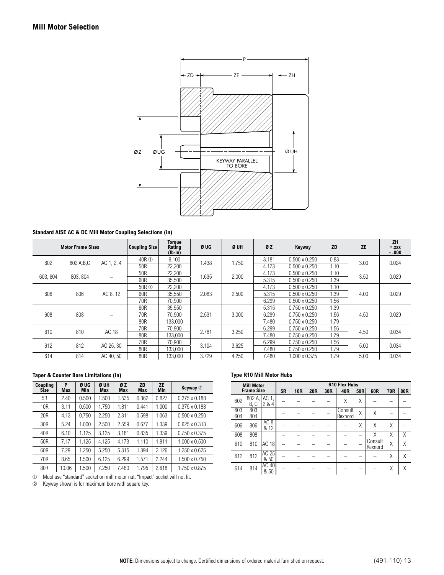

#### **Standard AISE AC & DC Mill Motor Coupling Selections (in)**

|          | <b>Motor Frame Sizes</b> |                   | <b>Coupling Size</b> | <b>Torque</b><br>Rating<br>$(lb-in)$ | Ø UG  | Ø UH  | ØZ    | Keyway               | <b>ZD</b> | <b>ZE</b> | <b>ZH</b><br>$+ .XXX$<br>$-.000$ |
|----------|--------------------------|-------------------|----------------------|--------------------------------------|-------|-------|-------|----------------------|-----------|-----------|----------------------------------|
| 602      | 802 A, B, C              | AC 1, 2, 4        | 40R ①                | 9,100                                | 1.438 | 1.750 | 3.181 | $0.500 \times 0.250$ | 0.83      | 3.00      | 0.024                            |
|          |                          |                   | 50R                  | 22,200                               |       |       | 4.173 | $0.500 \times 0.250$ | 1.10      |           |                                  |
| 603, 604 | 803.804                  |                   | 50R                  | 22,200                               | 1.635 | 2.000 | 4.173 | $0.500 \times 0.250$ | 1.10      | 3.50      | 0.029                            |
|          |                          | $\qquad \qquad =$ | 60R                  | 35,500                               |       |       | 5.315 | $0.500 \times 0.250$ | 1.39      |           |                                  |
|          |                          |                   | 50R ①                | 22,200                               |       |       | 4.173 | $0.500 \times 0.250$ | 1.10      |           |                                  |
| 606      | 806                      | AC 8, 12          | 60R                  | 35,550                               | 2.083 | 2.500 | 5.315 | $0.500 \times 0.250$ | 1.39      | 4.00      | 0.029                            |
|          |                          |                   | 70R                  | 70,900                               |       |       | 6.299 | $0.500 \times 0.250$ | 1.56      |           |                                  |
|          |                          |                   | 60R                  | 35,550                               |       |       | 5.315 | $0.750 \times 0.250$ | 1.39      |           |                                  |
| 608      | 808                      | -                 | 70R                  | 70,900                               | 2.531 | 3.000 | 6.299 | $0.750 \times 0.250$ | 1.56      | 4.50      | 0.029                            |
|          |                          |                   | 80R                  | 133,000                              |       |       | 7.480 | $0.750 \times 0.250$ | 1.79      |           |                                  |
| 610      | 810                      | AC 18             | 70R                  | 70,900                               | 2.781 | 3.250 | 6.299 | $0.750 \times 0.250$ | 1.56      | 4.50      | 0.034                            |
|          |                          |                   | 80R                  | 133,000                              |       |       | 7.480 | $0.750 \times 0.250$ | 1.79      |           |                                  |
| 612      | 812                      | AC 25, 30         | 70R                  | 70,900                               | 3.104 | 3.625 | 6.299 | $0.750 \times 0.250$ | 1.56      | 5.00      | 0.034                            |
|          |                          |                   | 80R                  | 133,000                              |       |       | 7.480 | $0.750 \times 0.250$ | 1.79      |           |                                  |
| 614      | 814                      | AC 40, 50         | 80R                  | 133,000                              | 3.729 | 4.250 | 7.480 | $1.000 \times 0.375$ | 1.79      | 5.00      | 0.034                            |

#### **Taper & Counter Bore Limitations (in)**

| Coupling<br>Size | P<br>Max | Ø UG<br>Min | Ø UH<br>Max | ØZ<br><b>Max</b> | <b>ZD</b><br>Max | <b>ZE</b><br>Min | Keyway 2             |
|------------------|----------|-------------|-------------|------------------|------------------|------------------|----------------------|
| 5R               | 2.40     | 0.500       | 1.500       | 1.535            | 0.362            | 0.827            | $0.375 \times 0.188$ |
| 10R              | 3.11     | 0.500       | 1.750       | 1.811            | 0.441            | 1.000            | $0.375 \times 0.188$ |
| 20 <sub>R</sub>  | 4.13     | 0.750       | 2.250       | 2.311            | 0.598            | 1.063            | $0.500 \times 0.250$ |
| 30R              | 5.24     | 1.000       | 2.500       | 2.559            | 0.677            | 1.339            | $0.625 \times 0.313$ |
| 40R              | 6.10     | 1.125       | 3.125       | 3.181            | 0.835            | 1.339            | $0.750 \times 0.375$ |
| 50R              | 7.17     | 1.125       | 4.125       | 4.173            | 1.110            | 1.811            | $1.000 \times 0.500$ |
| 60R              | 7.29     | 1.250       | 5.250       | 5.315            | 1.394            | 2.126            | $1.250 \times 0.625$ |
| 70R              | 8.65     | 1.500       | 6.125       | 6.299            | 1.571            | 2.244            | 1.500 x 0.750        |
| 80R              | 10.06    | 1.500       | 7.250       | 7.480            | 1.795            | 2.618            | 1.750 x 0.875        |

 $\frac{1}{\sqrt{2}}$  Must use "standard" socket on mill motor nut. "Impact" socket will not fit.

➁ Keyway shown is for maximum bore with square key.

#### **Type R10 Mill Motor Hubs**

| <b>Mill Motor</b> |                |                         | <b>R10 Flex Hubs</b> |            |            |     |                    |     |                    |     |     |
|-------------------|----------------|-------------------------|----------------------|------------|------------|-----|--------------------|-----|--------------------|-----|-----|
| <b>Frame Size</b> |                |                         | 5R                   | <b>10R</b> | <b>20R</b> | 30R | 40R                | 50R | 60R                | 70R | 80R |
| 602               | 802 A.<br>B, C | AC 1,<br>2 & 4          |                      |            |            |     | Χ                  | Χ   |                    |     |     |
| 603<br>604        | 803<br>804     |                         |                      |            |            |     | Consult<br>Rexnord | X   | Χ                  |     |     |
| 606               | 806            | AC <sub>8</sub><br>& 12 |                      |            |            |     |                    | Χ   | Χ                  | Χ   |     |
| 608               | 808            |                         |                      |            |            |     |                    |     | Χ                  | Χ   | Χ   |
| 610               | 810            | <b>AC 18</b>            |                      |            |            |     |                    |     | Consult<br>Rexnord | X   | Χ   |
| 612               | 812            | AC 25<br>& 50           |                      |            |            |     |                    |     |                    | X   | Χ   |
| 614               | 814            | AC 40<br>& 50           |                      |            |            |     |                    |     |                    | Χ   | Χ   |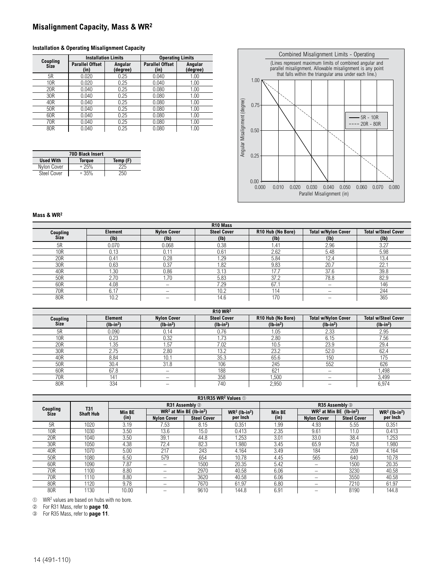## **Misalignment Capacity, Mass & WR2**

#### **Installation & Operating Misalignment Capacity**

| Coupling    |                                | <b>Installation Limits</b> | <b>Operating Limits</b>        |                     |  |  |  |  |
|-------------|--------------------------------|----------------------------|--------------------------------|---------------------|--|--|--|--|
| <b>Size</b> | <b>Parallel Offset</b><br>(in) | Angular<br>(degree)        | <b>Parallel Offset</b><br>(in) | Angular<br>(degree) |  |  |  |  |
| 5R          | 0.020                          | 0.25                       | 0.040                          | 1.00                |  |  |  |  |
| 10R         | 0.020                          | 0.25                       | 0.040                          | 1.00                |  |  |  |  |
| 20R         | 0.040                          | 0.25                       | 0.080                          | 1.00                |  |  |  |  |
| 30R         | 0.040                          | 0.25                       | 0.080                          | 1.00                |  |  |  |  |
| 40R         | 0.040                          | 0.25                       | 0.080                          | 1.00                |  |  |  |  |
| 50R         | 0.040                          | 0.25                       | 0.080                          | 1.00                |  |  |  |  |
| 60R         | 0.040                          | 0.25                       | 0.080                          | 1.00                |  |  |  |  |
| 70R         | 0.040                          | 0.25                       | 0.080                          | 1.00                |  |  |  |  |
| 80R         | 0.040                          | 0.25                       | 0.080                          | 1.00                |  |  |  |  |

| <b>70D Black Insert</b>                       |        |     |  |  |  |  |  |
|-----------------------------------------------|--------|-----|--|--|--|--|--|
| <b>Used With</b><br>Temp (F)<br><b>Torque</b> |        |     |  |  |  |  |  |
| Nylon Cover                                   | $+25%$ | 225 |  |  |  |  |  |
| <b>Steel Cover</b>                            | $+35%$ | 250 |  |  |  |  |  |



#### **Mass & WR2**

| R <sub>10</sub> Mass |         |                          |                    |                   |                            |                            |  |  |  |
|----------------------|---------|--------------------------|--------------------|-------------------|----------------------------|----------------------------|--|--|--|
| Coupling<br>Size     | Element | <b>Nylon Cover</b>       | <b>Steel Cover</b> | R10 Hub (No Bore) | <b>Total w/Nylon Cover</b> | <b>Total w/Steel Cover</b> |  |  |  |
|                      | (Ib)    | (1b)                     | (1b)               | (1b)              | (1b)                       | (1b)                       |  |  |  |
| 5R                   | 0.070   | 0.068                    | 0.38               | 1.41              | 2.96                       | 3.27                       |  |  |  |
| 10 <sub>R</sub>      | 0.13    | $0.1^{\circ}$            | 0.61               | 2.62              | 5.48                       | 5.98                       |  |  |  |
| 20R                  | 0.41    | 0.28                     | 1.29               | 5.84              | 12.4                       | 13.4                       |  |  |  |
| 30R                  | 0.63    | 0.37                     | 1.82               | 9.83              | 20.7                       | 22.1                       |  |  |  |
| 40R                  | 1.30    | 0.86                     | 3.13               | 17.7              | 37.6                       | 39.8                       |  |  |  |
| 50R                  | 2.70    | 1.70                     | 5.83               | 37.2              | 78.8                       | 82.9                       |  |  |  |
| 60R                  | 4.08    | $\overline{\phantom{0}}$ | 7.29               | 67.7              |                            | 146                        |  |  |  |
| 70R                  | 6.17    |                          | 10.2               | 114               |                            | 244                        |  |  |  |
| 80R                  | 10.2    |                          | 14.6               | 170               |                            | 365                        |  |  |  |

| <b>R10 WR2</b> |            |                          |                    |                   |                            |                            |  |  |  |
|----------------|------------|--------------------------|--------------------|-------------------|----------------------------|----------------------------|--|--|--|
| Coupling       | Element    | <b>Nvlon Cover</b>       | <b>Steel Cover</b> | R10 Hub (No Bore) | <b>Total w/Nylon Cover</b> | <b>Total w/Steel Cover</b> |  |  |  |
| <b>Size</b>    | $(lb-in2)$ | $(lb-in2)$               | $(lb-in2)$         | $(lb-in2)$        | $(lb-in2)$                 | $(lb-in2)$                 |  |  |  |
| 5R             | 0.090      | 0.14                     | 0.76               | i 05              | 2.33                       | 2.95                       |  |  |  |
| 10R            | 0.23       | 0.32                     | .73                | 2.80              | 6.15                       | 7.56                       |  |  |  |
| 20R            | .35        | 1.57                     | 7.02               | 10.5              | 23.9                       | 29.4                       |  |  |  |
| 30R            | 2.75       | 2.80                     | 13.2               | 23.2              | 52.0                       | 62.4                       |  |  |  |
| 40R            | 8.84       | 10.1                     | 35.3               | 65.6              | 150                        | 175                        |  |  |  |
| 50R            | 30.4       | 31.8                     | 106                | 245               | 552                        | 626                        |  |  |  |
| 60R            | 67.8       | $\overline{\phantom{0}}$ | 188                | 621               | $\overline{\phantom{0}}$   | 1,498                      |  |  |  |
| 70R            | 141        | -                        | 358                | .500              |                            | 3,499                      |  |  |  |
| 80R            | 334        |                          | 740                | 2,950             |                            | 6,974                      |  |  |  |

| R31/R35 WR <sup>2</sup> Values 1 |                                |               |                                       |                    |                             |                |                                       |                    |                                         |  |
|----------------------------------|--------------------------------|---------------|---------------------------------------|--------------------|-----------------------------|----------------|---------------------------------------|--------------------|-----------------------------------------|--|
| Coupling<br><b>Size</b>          | <b>T31</b><br><b>Shaft Hub</b> |               | R31 Assembly 2                        |                    |                             | R35 Assembly 3 |                                       |                    |                                         |  |
|                                  |                                | <b>Min BE</b> | $WR2$ at Min BE (lb-in <sup>2</sup> ) |                    | $WR2$ (lb-in <sup>2</sup> ) | <b>Min BE</b>  | $WR2$ at Min BE (lb-in <sup>2</sup> ) |                    | $WR2$ (lb-in <sup>2</sup> )<br>per Inch |  |
|                                  |                                | (in)          | <b>Nylon Cover</b>                    | <b>Steel Cover</b> | per Inch                    | (in)           | <b>Nylon Cover</b>                    | <b>Steel Cover</b> |                                         |  |
| 5R                               | 1020                           | 3.19          | 7.53                                  | 8.15               | 0.351                       | 1.99           | 4.93                                  | 5.55               | 0.351                                   |  |
| 10R                              | 1030                           | 3.50          | 13.6                                  | 15.0               | 0.413                       | 2.35           | 9.61                                  | 11.0               | 0.413                                   |  |
| 20R                              | 1040                           | 3.50          | 39.1                                  | 44.8               | 1.253                       | 3.01           | 33.0                                  | 38.4               | 1.253                                   |  |
| 30R                              | 1050                           | 4.38          | 72.4                                  | 82.3               | 1.980                       | 3.45           | 65.9                                  | 75.8               | 1.980                                   |  |
| 40R                              | 1070                           | 5.00          | 217                                   | 243                | 4.164                       | 3.49           | 184                                   | 209                | 4.164                                   |  |
| 50R                              | 1080                           | 6.50          | 579                                   | 654                | 10.78                       | 4.45           | 565                                   | 640                | 10.78                                   |  |
| 60R                              | 1090                           | 7.87          | -                                     | 1500               | 20.35                       | 5.42           |                                       | 1500               | 20.35                                   |  |
| 70R                              | 1100                           | 8.80          | -                                     | 2970               | 40.58                       | 6.06           | —                                     | 3230               | 40.58                                   |  |
| 70R                              | 1110                           | 8.80          | -                                     | 3620               | 40.58                       | 6.06           | -                                     | 3550               | 40.58                                   |  |
| 80R                              | 1120                           | 9.78          | -                                     | 7670               | 61.97                       | 6.80           | –                                     | 7210               | 61.97                                   |  |
| 80R                              | 1130                           | 10.00         |                                       | 9610               | 144.8                       | 6.91           |                                       | 8190               | 144.8                                   |  |

➀ WR2 values are based on hubs with no bore.

➁ For R31 Mass, refer to **page 10**.

For R35 Mass, refer to **page 11**.